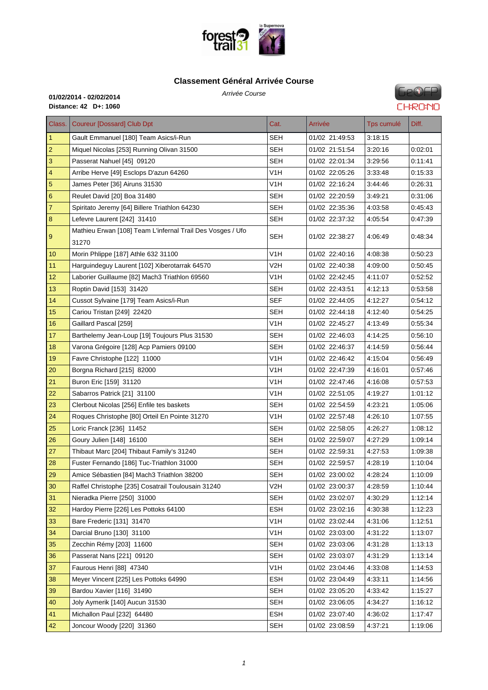

#### **Classe[ment Général Arrivée C](http://www.foresttrail31.fr/)ourse**

Arrivée Course **01/02/2014 - 02/02/2014 Distance: 42 D+: 1060**

**GeOFP CHRONO** 

| Class.                  | <b>Coureur [Dossard] Club Dpt</b>                                   | Cat.             | Arrivée        | Tps cumulé | Diff.   |
|-------------------------|---------------------------------------------------------------------|------------------|----------------|------------|---------|
| $\mathbf{1}$            | Gault Emmanuel [180] Team Asics/i-Run                               | SEH              | 01/02 21:49:53 | 3:18:15    |         |
| $\sqrt{2}$              | Miquel Nicolas [253] Running Olivan 31500                           | <b>SEH</b>       | 01/02 21:51:54 | 3:20:16    | 0.02:01 |
| $\mathbf{3}$            | Passerat Nahuel [45] 09120                                          | SEH              | 01/02 22:01:34 | 3:29:56    | 0:11:41 |
| $\overline{\mathbf{4}}$ | Arribe Herve [49] Esclops D'azun 64260                              | V1H              | 01/02 22:05:26 | 3:33:48    | 0:15:33 |
| $\overline{5}$          | James Peter [36] Airuns 31530                                       | V1H              | 01/02 22:16:24 | 3:44:46    | 0:26:31 |
| $6\phantom{1}6$         | Reulet David [20] Boa 31480                                         | SEH              | 01/02 22:20:59 | 3:49.21    | 0:31:06 |
| $\overline{7}$          | Spiritato Jeremy [64] Billere Triathlon 64230                       | <b>SEH</b>       | 01/02 22:35:36 | 4:03:58    | 0.45:43 |
| $\bf 8$                 | Lefevre Laurent [242] 31410                                         | <b>SEH</b>       | 01/02 22:37:32 | 4:05:54    | 0:47:39 |
| $\overline{9}$          | Mathieu Erwan [108] Team L'infernal Trail Des Vosges / Ufo<br>31270 | SEH              | 01/02 22:38:27 | 4:06:49    | 0:48:34 |
| 10                      | Morin Phlippe [187] Athle 632 31100                                 | V1H              | 01/02 22:40:16 | 4:08:38    | 0.50.23 |
| 11                      | Harguindeguy Laurent [102] Xiberotarrak 64570                       | V2H              | 01/02 22:40:38 | 4:09:00    | 0:50:45 |
| 12                      | Laborier Guillaume [82] Mach3 Triathlon 69560                       | V1H              | 01/02 22:42:45 | 4:11:07    | 0.52:52 |
| 13                      | Roptin David [153] 31420                                            | SEH              | 01/02 22:43:51 | 4:12:13    | 0.53.58 |
| 14                      | Cussot Sylvaine [179] Team Asics/i-Run                              | SEF              | 01/02 22:44:05 | 4:12:27    | 0.54.12 |
| 15                      | Cariou Tristan [249] 22420                                          | SEH              | 01/02 22:44:18 | 4:12:40    | 0:54:25 |
| 16                      | Gaillard Pascal [259]                                               | V <sub>1</sub> H | 01/02 22:45:27 | 4:13:49    | 0.55.34 |
| 17                      | Barthelemy Jean-Loup [19] Toujours Plus 31530                       | <b>SEH</b>       | 01/02 22:46:03 | 4:14:25    | 0.56:10 |
| 18                      | Varona Grégoire [128] Acp Pamiers 09100                             | <b>SEH</b>       | 01/02 22:46:37 | 4:14:59    | 0:56:44 |
| 19                      | Favre Christophe [122] 11000                                        | V <sub>1</sub> H | 01/02 22:46:42 | 4:15:04    | 0:56:49 |
| 20                      | Borgna Richard [215] 82000                                          | V1H              | 01/02 22:47:39 | 4:16:01    | 0:57:46 |
| 21                      | Buron Eric [159] 31120                                              | V1H              | 01/02 22:47:46 | 4:16:08    | 0:57:53 |
| 22                      | Sabarros Patrick [21] 31100                                         | V1H              | 01/02 22:51:05 | 4:19:27    | 1:01:12 |
| 23                      | Clerbout Nicolas [256] Enfile tes baskets                           | SEH              | 01/02 22:54:59 | 4:23:21    | 1:05:06 |
| 24                      | Roques Christophe [80] Orteil En Pointe 31270                       | V <sub>1</sub> H | 01/02 22:57:48 | 4:26:10    | 1.07:55 |
| 25                      | Loric Franck [236] 11452                                            | SEH              | 01/02 22:58:05 | 4:26:27    | 1:08:12 |
| 26                      | Goury Julien [148] 16100                                            | SEH              | 01/02 22:59:07 | 4:27:29    | 1:09:14 |
| 27                      | Thibaut Marc [204] Thibaut Family's 31240                           | SEH              | 01/02 22:59:31 | 4:27:53    | 1.09.38 |
| 28                      | Fuster Fernando [186] Tuc-Triathlon 31000                           | <b>SEH</b>       | 01/02 22:59:57 | 4:28:19    | 1:10:04 |
| 29                      | Amice Sébastien [84] Mach3 Triathlon 38200                          | SEH              | 01/02 23:00:02 | 4:28:24    | 1:10:09 |
| 30                      | Raffel Christophe [235] Cosatrail Toulousain 31240                  | V2H              | 01/02 23:00:37 | 4:28:59    | 1:10:44 |
| 31                      | Nieradka Pierre [250] 31000                                         | <b>SEH</b>       | 01/02 23:02:07 | 4:30:29    | 1:12:14 |
| 32                      | Hardoy Pierre [226] Les Pottoks 64100                               | <b>ESH</b>       | 01/02 23:02:16 | 4:30:38    | 1:12:23 |
| 33                      | Bare Frederic [131] 31470                                           | V <sub>1</sub> H | 01/02 23:02:44 | 4:31:06    | 1:12:51 |
| 34                      | Darcial Bruno [130] 31100                                           | V <sub>1</sub> H | 01/02 23:03:00 | 4:31:22    | 1:13:07 |
| 35                      | Zecchin Rémy [203] 11600                                            | <b>SEH</b>       | 01/02 23:03:06 | 4:31:28    | 1:13:13 |
| 36                      | Passerat Nans [221] 09120                                           | <b>SEH</b>       | 01/02 23:03:07 | 4:31:29    | 1:13:14 |
| 37                      | Faurous Henri [88] 47340                                            | V <sub>1</sub> H | 01/02 23:04:46 | 4:33:08    | 1:14:53 |
| 38                      | Meyer Vincent [225] Les Pottoks 64990                               | <b>ESH</b>       | 01/02 23:04:49 | 4:33:11    | 1:14:56 |
| 39                      | Bardou Xavier [116] 31490                                           | <b>SEH</b>       | 01/02 23:05:20 | 4:33:42    | 1:15:27 |
| 40                      | Joly Aymerik [140] Aucun 31530                                      | <b>SEH</b>       | 01/02 23:06:05 | 4:34:27    | 1:16:12 |
| 41                      | Michallon Paul [232] 64480                                          | <b>ESH</b>       | 01/02 23:07:40 | 4:36:02    | 1:17:47 |
| 42                      | Joncour Woody [220] 31360                                           | SEH              | 01/02 23:08:59 | 4:37:21    | 1:19:06 |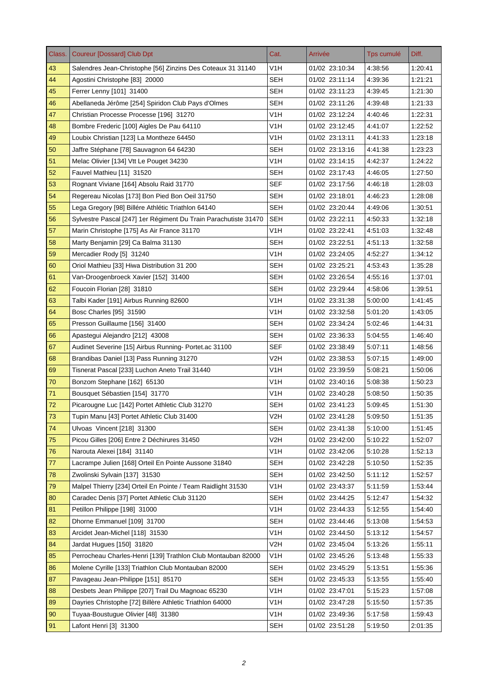| Class. | <b>Coureur [Dossard] Club Dpt</b>                               | Cat.             | Arrivée        | Tps cumulé | Diff.   |
|--------|-----------------------------------------------------------------|------------------|----------------|------------|---------|
| 43     | Salendres Jean-Christophe [56] Zinzins Des Coteaux 31 31140     | V <sub>1</sub> H | 01/02 23:10:34 | 4:38:56    | 1:20:41 |
| 44     | Agostini Christophe [83] 20000                                  | <b>SEH</b>       | 01/02 23:11:14 | 4:39:36    | 1:21:21 |
| 45     | Ferrer Lenny [101] 31400                                        | <b>SEH</b>       | 01/02 23:11:23 | 4:39:45    | 1:21:30 |
| 46     | Abellaneda Jérôme [254] Spiridon Club Pays d'Olmes              | SEH              | 01/02 23:11:26 | 4:39:48    | 1:21:33 |
| 47     | Christian Processe Processe [196] 31270                         | V1H              | 01/02 23:12:24 | 4:40:46    | 1:22:31 |
| 48     | Bombre Frederic [100] Aigles De Pau 64110                       | V <sub>1</sub> H | 01/02 23:12:45 | 4:41:07    | 1:22:52 |
| 49     | Loubix Christian [123] La Montheze 64450                        | V <sub>1</sub> H | 01/02 23:13:11 | 4:41:33    | 1:23:18 |
| 50     | Jaffre Stéphane [78] Sauvagnon 64 64230                         | SEH              | 01/02 23:13:16 | 4:41:38    | 1:23:23 |
| 51     | Melac Olivier [134] Vtt Le Pouget 34230                         | V <sub>1</sub> H | 01/02 23:14:15 | 4:42:37    | 1:24:22 |
| 52     | Fauvel Mathieu [11] 31520                                       | <b>SEH</b>       | 01/02 23:17:43 | 4:46:05    | 1:27:50 |
| 53     | Rognant Viviane [164] Absolu Raid 31770                         | <b>SEF</b>       | 01/02 23:17:56 | 4:46:18    | 1:28:03 |
| 54     | Regereau Nicolas [173] Bon Pied Bon Oeil 31750                  | <b>SEH</b>       | 01/02 23:18:01 | 4:46:23    | 1:28:08 |
| 55     | Lega Gregory [98] Billére Athlétic Triathlon 64140              | <b>SEH</b>       | 01/02 23:20:44 | 4:49:06    | 1:30:51 |
| 56     | Sylvestre Pascal [247] 1er Régiment Du Train Parachutiste 31470 | <b>SEH</b>       | 01/02 23:22:11 | 4:50:33    | 1:32:18 |
| 57     | Marin Christophe [175] As Air France 31170                      | V1H              | 01/02 23:22:41 | 4:51:03    | 1:32:48 |
| 58     | Marty Benjamin [29] Ca Balma 31130                              | <b>SEH</b>       | 01/02 23:22:51 | 4:51:13    | 1:32:58 |
| 59     | Mercadier Rody [5] 31240                                        | V1H              | 01/02 23:24:05 | 4:52:27    | 1:34:12 |
| 60     | Oriol Mathieu [33] Hiwa Distribution 31 200                     | <b>SEH</b>       | 01/02 23:25:21 | 4:53:43    | 1:35:28 |
| 61     | Van-Droogenbroeck Xavier [152] 31400                            | SEH              | 01/02 23:26:54 | 4:55:16    | 1:37:01 |
| 62     | Foucoin Florian [28] 31810                                      | <b>SEH</b>       | 01/02 23:29:44 | 4:58:06    | 1:39:51 |
| 63     | Talbi Kader [191] Airbus Running 82600                          | V <sub>1</sub> H | 01/02 23:31:38 | 5:00:00    | 1:41:45 |
| 64     | Bosc Charles [95] 31590                                         | V <sub>1</sub> H | 01/02 23:32:58 | 5:01:20    | 1:43:05 |
| 65     | Presson Guillaume [156] 31400                                   | <b>SEH</b>       | 01/02 23:34:24 | 5:02:46    | 1:44:31 |
| 66     | Apastegui Alejandro [212] 43008                                 | <b>SEH</b>       | 01/02 23:36:33 | 5:04:55    | 1:46:40 |
| 67     | Audinet Severine [15] Airbus Running- Portet.ac 31100           | <b>SEF</b>       | 01/02 23:38:49 | 5:07:11    | 1:48:56 |
| 68     | Brandibas Daniel [13] Pass Running 31270                        | V2H              | 01/02 23:38:53 | 5:07:15    | 1:49:00 |
| 69     | Tisnerat Pascal [233] Luchon Aneto Trail 31440                  | V1H              | 01/02 23:39:59 | 5:08:21    | 1:50:06 |
| 70     | Bonzom Stephane [162] 65130                                     | V1H              | 01/02 23:40:16 | 5:08:38    | 1:50:23 |
| 71     | Bousquet Sébastien [154] 31770                                  | V <sub>1</sub> H | 01/02 23:40:28 | 5:08:50    | 1:50:35 |
| 72     | Picarougne Luc [142] Portet Athletic Club 31270                 | SEH              | 01/02 23:41:23 | 5:09:45    | 1:51:30 |
| 73     | Tupin Manu [43] Portet Athletic Club 31400                      | V2H              | 01/02 23:41:28 | 5:09:50    | 1:51:35 |
| 74     | Ulvoas Vincent [218] 31300                                      | <b>SEH</b>       | 01/02 23:41:38 | 5:10:00    | 1:51:45 |
| 75     | Picou Gilles [206] Entre 2 Déchirures 31450                     | V <sub>2</sub> H | 01/02 23:42:00 | 5:10:22    | 1:52:07 |
| 76     | Narouta Alexei [184] 31140                                      | V1H              | 01/02 23:42:06 | 5:10:28    | 1:52:13 |
| 77     | Lacrampe Julien [168] Orteil En Pointe Aussone 31840            | <b>SEH</b>       | 01/02 23:42:28 | 5:10:50    | 1:52:35 |
| 78     | Zwolinski Sylvain [137] 31530                                   | <b>SEH</b>       | 01/02 23:42:50 | 5:11:12    | 1:52:57 |
| 79     | Malpel Thierry [234] Orteil En Pointe / Team Raidlight 31530    | V <sub>1</sub> H | 01/02 23:43:37 | 5:11:59    | 1:53:44 |
| 80     | Caradec Denis [37] Portet Athletic Club 31120                   | <b>SEH</b>       | 01/02 23:44:25 | 5:12:47    | 1:54:32 |
| 81     | Petillon Philippe [198] 31000                                   | V <sub>1</sub> H | 01/02 23:44:33 | 5:12:55    | 1:54:40 |
| 82     | Dhorne Emmanuel [109] 31700                                     | <b>SEH</b>       | 01/02 23:44:46 | 5:13:08    | 1:54:53 |
| 83     | Arcidet Jean-Michel [118] 31530                                 | V <sub>1</sub> H | 01/02 23:44:50 | 5:13:12    | 1:54:57 |
| 84     | Jardat Hugues [150] 31820                                       | V2H              | 01/02 23:45:04 | 5:13:26    | 1:55:11 |
| 85     | Perrocheau Charles-Henri [139] Trathlon Club Montauban 82000    | V <sub>1</sub> H | 01/02 23:45:26 | 5:13:48    | 1:55:33 |
| 86     | Molene Cyrille [133] Triathlon Club Montauban 82000             | <b>SEH</b>       | 01/02 23:45:29 | 5:13:51    | 1:55:36 |
| 87     | Pavageau Jean-Philippe [151] 85170                              | <b>SEH</b>       | 01/02 23:45:33 | 5:13:55    | 1:55:40 |
| 88     | Desbets Jean Philippe [207] Trail Du Magnoac 65230              | V1H              | 01/02 23:47:01 | 5:15:23    | 1:57:08 |
| 89     | Dayries Christophe [72] Billère Athletic Triathlon 64000        | V <sub>1</sub> H | 01/02 23:47:28 | 5:15:50    | 1:57:35 |
| 90     | Tuyaa-Boustugue Olivier [48] 31380                              | V <sub>1</sub> H | 01/02 23:49:36 | 5:17:58    | 1:59:43 |
| 91     | Lafont Henri [3] 31300                                          | <b>SEH</b>       | 01/02 23:51:28 | 5:19:50    | 2:01:35 |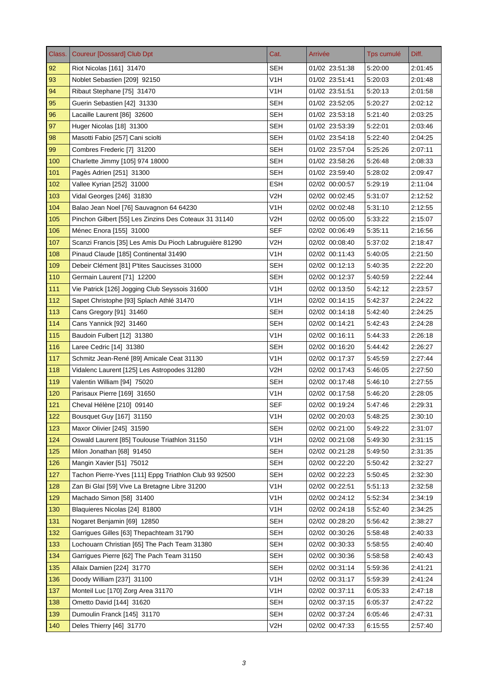| Class. | <b>Coureur [Dossard] Club Dpt</b>                       | Cat.             | Arrivée        | Tps cumulé | Diff.   |
|--------|---------------------------------------------------------|------------------|----------------|------------|---------|
| 92     | Riot Nicolas [161] 31470                                | <b>SEH</b>       | 01/02 23:51:38 | 5:20:00    | 2:01:45 |
| 93     | Noblet Sebastien [209] 92150                            | V <sub>1</sub> H | 01/02 23:51:41 | 5:20:03    | 2:01:48 |
| 94     | Ribaut Stephane [75] 31470                              | V <sub>1</sub> H | 01/02 23:51:51 | 5:20:13    | 2:01:58 |
| 95     | Guerin Sebastien [42] 31330                             | SEH              | 01/02 23:52:05 | 5:20:27    | 2:02:12 |
| 96     | Lacaille Laurent [86] 32600                             | SEH              | 01/02 23:53:18 | 5:21:40    | 2:03:25 |
| 97     | Huger Nicolas [18] 31300                                | SEH              | 01/02 23:53:39 | 5:22:01    | 2:03:46 |
| 98     | Masotti Fabio [257] Cani sciolti                        | <b>SEH</b>       | 01/02 23:54:18 | 5:22:40    | 2:04:25 |
| 99     | Combres Frederic [7] 31200                              | SEH              | 01/02 23:57:04 | 5:25:26    | 2:07:11 |
| 100    | Charlette Jimmy [105] 974 18000                         | <b>SEH</b>       | 01/02 23:58:26 | 5:26:48    | 2:08:33 |
| 101    | Pagès Adrien [251] 31300                                | <b>SEH</b>       | 01/02 23:59:40 | 5:28:02    | 2:09:47 |
| 102    | Vallee Kyrian [252] 31000                               | <b>ESH</b>       | 02/02 00:00:57 | 5:29:19    | 2.11.04 |
| 103    | Vidal Georges [246] 31830                               | V2H              | 02/02 00:02:45 | 5:31:07    | 2:12:52 |
| 104    | Balao Jean Noel [76] Sauvagnon 64 64230                 | V <sub>1</sub> H | 02/02 00:02:48 | 5:31:10    | 2:12:55 |
| 105    | Pinchon Gilbert [55] Les Zinzins Des Coteaux 31 31140   | V2H              | 02/02 00:05:00 | 5:33:22    | 2:15:07 |
| 106    | Ménec Enora [155] 31000                                 | <b>SEF</b>       | 02/02 00:06:49 | 5:35:11    | 2:16:56 |
| 107    | Scanzi Francis [35] Les Amis Du Pioch Labruguière 81290 | V2H              | 02/02 00:08:40 | 5:37:02    | 2:18:47 |
| 108    | Pinaud Claude [185] Continental 31490                   | V1H              | 02/02 00:11:43 | 5:40:05    | 2:21:50 |
| 109    | Debeir Clément [81] P'tites Saucisses 31000             | <b>SEH</b>       | 02/02 00:12:13 | 5:40:35    | 2:22:20 |
| 110    | Germain Laurent [71] 12200                              | SEH              | 02/02 00:12:37 | 5:40:59    | 2:22:44 |
| 111    | Vie Patrick [126] Jogging Club Seyssois 31600           | V1H              | 02/02 00:13:50 | 5:42:12    | 2:23:57 |
| 112    | Sapet Christophe [93] Splach Athlé 31470                | V <sub>1</sub> H | 02/02 00:14:15 | 5:42:37    | 2:24:22 |
| 113    | Cans Gregory [91] 31460                                 | <b>SEH</b>       | 02/02 00:14:18 | 5:42:40    | 2:24:25 |
| 114    | Cans Yannick [92] 31460                                 | <b>SEH</b>       | 02/02 00:14:21 | 5:42:43    | 2:24:28 |
| 115    | Baudoin Fulbert [12] 31380                              | V <sub>1</sub> H | 02/02 00:16:11 | 5:44:33    | 2:26:18 |
| 116    | Laree Cedric [14] 31380                                 | SEH              | 02/02 00:16:20 | 5:44:42    | 2:26.27 |
| 117    | Schmitz Jean-René [89] Amicale Ceat 31130               | V1H              | 02/02 00:17:37 | 5:45:59    | 2.27.44 |
| 118    | Vidalenc Laurent [125] Les Astropodes 31280             | V <sub>2</sub> H | 02/02 00:17:43 | 5:46:05    | 2:27:50 |
| 119    | Valentin William [94] 75020                             | SEH              | 02/02 00:17:48 | 5:46:10    | 2:27:55 |
| 120    | Parisaux Pierre [169] 31650                             | V1H              | 02/02 00:17:58 | 5:46:20    | 2:28:05 |
| 121    | Cheval Hélène [210] 09140                               | SEF              | 02/02 00:19:24 | 5:47:46    | 2:29:31 |
| 122    | Bousquet Guy [167] 31150                                | V <sub>1</sub> H | 02/02 00:20:03 | 5:48:25    | 2:30:10 |
| 123    | Maxor Olivier [245] 31590                               | SEH              | 02/02 00:21:00 | 5:49:22    | 2:31:07 |
| 124    | Oswald Laurent [85] Toulouse Triathlon 31150            | V1H              | 02/02 00:21:08 | 5:49:30    | 2:31:15 |
| 125    | Milon Jonathan [68] 91450                               | <b>SEH</b>       | 02/02 00:21:28 | 5:49:50    | 2:31:35 |
| 126    | Mangin Xavier [51] 75012                                | <b>SEH</b>       | 02/02 00:22:20 | 5:50:42    | 2:32:27 |
| 127    | Tachon Pierre-Yves [111] Eppg Triathlon Club 93 92500   | <b>SEH</b>       | 02/02 00:22:23 | 5:50:45    | 2:32:30 |
| 128    | Zan Bi Glaï [59] Vive La Bretagne Libre 31200           | V <sub>1</sub> H | 02/02 00:22:51 | 5:51:13    | 2:32:58 |
| 129    | Machado Simon [58] 31400                                | V <sub>1</sub> H | 02/02 00:24:12 | 5:52:34    | 2.34.19 |
| 130    | Blaquieres Nicolas [24] 81800                           | V <sub>1</sub> H | 02/02 00:24:18 | 5:52:40    | 2:34:25 |
| 131    | Nogaret Benjamin [69] 12850                             | <b>SEH</b>       | 02/02 00:28:20 | 5.56:42    | 2:38:27 |
| 132    | Garrigues Gilles [63] Thepachteam 31790                 | <b>SEH</b>       | 02/02 00:30:26 | 5:58:48    | 2:40:33 |
| 133    | Lochouarn Christian [65] The Pach Team 31380            | <b>SEH</b>       | 02/02 00:30:33 | 5:58:55    | 2:40:40 |
| 134    | Garrigues Pierre [62] The Pach Team 31150               | <b>SEH</b>       | 02/02 00:30:36 | 5:58:58    | 2:40:43 |
| 135    | Allaix Damien [224] 31770                               | <b>SEH</b>       | 02/02 00:31:14 | 5:59:36    | 2:41:21 |
| 136    | Doody William [237] 31100                               | V1H              | 02/02 00:31:17 | 5:59:39    | 2.41.24 |
| 137    | Monteil Luc [170] Zorg Area 31170                       | V1H              | 02/02 00:37:11 | 6:05:33    | 2:47:18 |
| 138    | Ometto David [144] 31620                                | <b>SEH</b>       | 02/02 00:37:15 | 6:05:37    | 2:47:22 |
| 139    | Dumoulin Franck [145] 31170                             | <b>SEH</b>       | 02/02 00:37:24 | 6:05:46    | 2:47:31 |
| 140    | Deles Thierry [46] 31770                                | V2H              | 02/02 00:47:33 | 6:15:55    | 2:57:40 |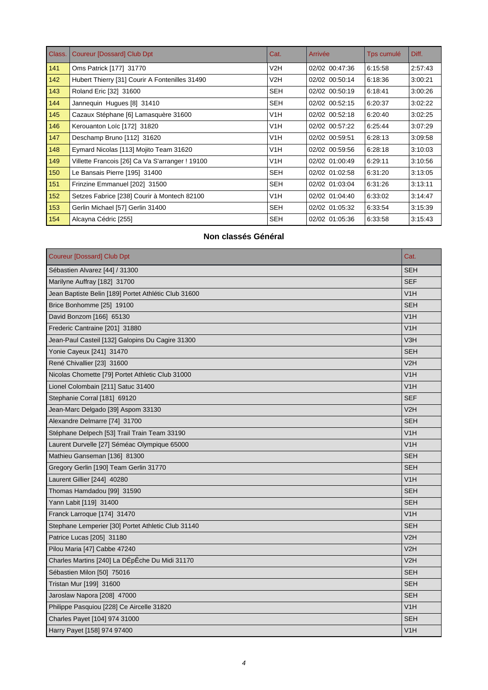| Class. | <b>Coureur [Dossard] Club Dpt</b>               | Cat.             | Arrivée        | Tps cumulé | Diff.   |
|--------|-------------------------------------------------|------------------|----------------|------------|---------|
| 141    | Oms Patrick [177] 31770                         | V2H              | 02/02 00:47:36 | 6:15:58    | 2:57:43 |
| 142    | Hubert Thierry [31] Courir A Fontenilles 31490  | V2H              | 02/02 00:50:14 | 6:18:36    | 3:00:21 |
| 143    | Roland Eric [32] 31600                          | <b>SEH</b>       | 02/02 00:50:19 | 6:18:41    | 3:00:26 |
| 144    | Jannequin Hugues [8] 31410                      | <b>SEH</b>       | 02/02 00:52:15 | 6:20:37    | 3:02:22 |
| 145    | Cazaux Stéphane [6] Lamasquère 31600            | V <sub>1</sub> H | 02/02 00:52:18 | 6:20:40    | 3:02:25 |
| 146    | Kerouanton Loïc [172] 31820                     | V1H              | 02/02 00:57:22 | 6:25:44    | 3:07:29 |
| 147    | Deschamp Bruno [112] 31620                      | V1H              | 02/02 00:59:51 | 6:28:13    | 3:09:58 |
| 148    | Eymard Nicolas [113] Mojito Team 31620          | V <sub>1</sub> H | 02/02 00:59:56 | 6:28:18    | 3:10:03 |
| 149    | Villette Francois [26] Ca Va S'arranger ! 19100 | V <sub>1</sub> H | 02/02 01:00:49 | 6:29:11    | 3:10:56 |
| 150    | Le Bansais Pierre [195] 31400                   | <b>SEH</b>       | 02/02 01:02:58 | 6:31:20    | 3:13:05 |
| 151    | Frinzine Emmanuel [202] 31500                   | SEH              | 02/02 01:03:04 | 6:31:26    | 3:13:11 |
| 152    | Setzes Fabrice [238] Courir à Montech 82100     | V1H              | 02/02 01:04:40 | 6:33:02    | 3:14:47 |
| 153    | Gerlin Michael [57] Gerlin 31400                | <b>SEH</b>       | 02/02 01:05:32 | 6:33:54    | 3:15:39 |
| 154    | Alcayna Cédric [255]                            | <b>SEH</b>       | 02/02 01:05:36 | 6:33:58    | 3:15.43 |

#### **Non classés Général**

| <b>Coureur [Dossard] Club Dpt</b>                    | Cat.             |
|------------------------------------------------------|------------------|
| Sébastien Alvarez [44] / 31300                       | <b>SEH</b>       |
| Marilyne Auffray [182] 31700                         | <b>SEF</b>       |
| Jean Baptiste Belin [189] Portet Athlétic Club 31600 | V1H              |
| Brice Bonhomme [25] 19100                            | <b>SEH</b>       |
| David Bonzom [166] 65130                             | V1H              |
| Frederic Cantraine [201] 31880                       | V1H              |
| Jean-Paul Casteil [132] Galopins Du Cagire 31300     | V3H              |
| Yonie Cayeux [241] 31470                             | <b>SEH</b>       |
| René Chivallier [23] 31600                           | V2H              |
| Nicolas Chomette [79] Portet Athletic Club 31000     | V1H              |
| Lionel Colombain [211] Satuc 31400                   | V1H              |
| Stephanie Corral [181] 69120                         | <b>SEF</b>       |
| Jean-Marc Delgado [39] Aspom 33130                   | V2H              |
| Alexandre Delmarre [74] 31700                        | <b>SEH</b>       |
| Stéphane Delpech [53] Trail Train Team 33190         | V1H              |
| Laurent Durvelle [27] Séméac Olympique 65000         | V1H              |
| Mathieu Ganseman [136] 81300                         | <b>SEH</b>       |
| Gregory Gerlin [190] Team Gerlin 31770               | <b>SEH</b>       |
| Laurent Gillier [244] 40280                          | V1H              |
| Thomas Hamdadou [99] 31590                           | <b>SEH</b>       |
| Yann Labit [119] 31400                               | <b>SEH</b>       |
| Franck Larroque [174] 31470                          | V <sub>1</sub> H |
| Stephane Lemperier [30] Portet Athletic Club 31140   | <b>SEH</b>       |
| Patrice Lucas [205] 31180                            | V2H              |
| Pilou Maria [47] Cabbe 47240                         | V2H              |
| Charles Martins [240] La DÉpÊche Du Midi 31170       | V2H              |
| Sébastien Milon [50] 75016                           | <b>SEH</b>       |
| Tristan Mur [199] 31600                              | <b>SEH</b>       |
| Jaroslaw Napora [208] 47000                          | <b>SEH</b>       |
| Philippe Pasquiou [228] Ce Aircelle 31820            | V1H              |
| Charles Payet [104] 974 31000                        | <b>SEH</b>       |
| Harry Payet [158] 974 97400                          | V1H              |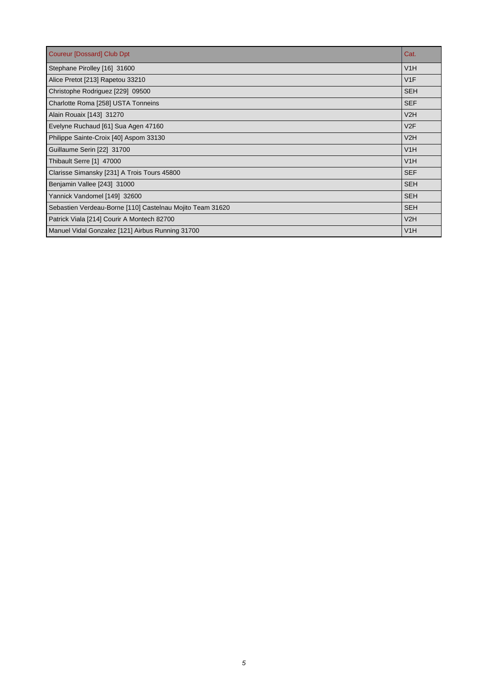| Coureur [Dossard] Club Dpt                                | Cat.       |
|-----------------------------------------------------------|------------|
| Stephane Pirolley [16] 31600                              | V1H        |
| Alice Pretot [213] Rapetou 33210                          | V1F        |
| Christophe Rodriguez [229] 09500                          | <b>SEH</b> |
| Charlotte Roma [258] USTA Tonneins                        | <b>SEF</b> |
| Alain Rouaix [143] 31270                                  | V2H        |
| Evelyne Ruchaud [61] Sua Agen 47160                       | V2F        |
| Philippe Sainte-Croix [40] Aspom 33130                    | V2H        |
| Guillaume Serin [22] 31700                                | V1H        |
| Thibault Serre [1] 47000                                  | V1H        |
| Clarisse Simansky [231] A Trois Tours 45800               | <b>SEF</b> |
| Benjamin Vallee [243] 31000                               | <b>SEH</b> |
| Yannick Vandomel [149] 32600                              | <b>SEH</b> |
| Sebastien Verdeau-Borne [110] Castelnau Mojito Team 31620 | <b>SEH</b> |
| Patrick Viala [214] Courir A Montech 82700                | V2H        |
| Manuel Vidal Gonzalez [121] Airbus Running 31700          | V1H        |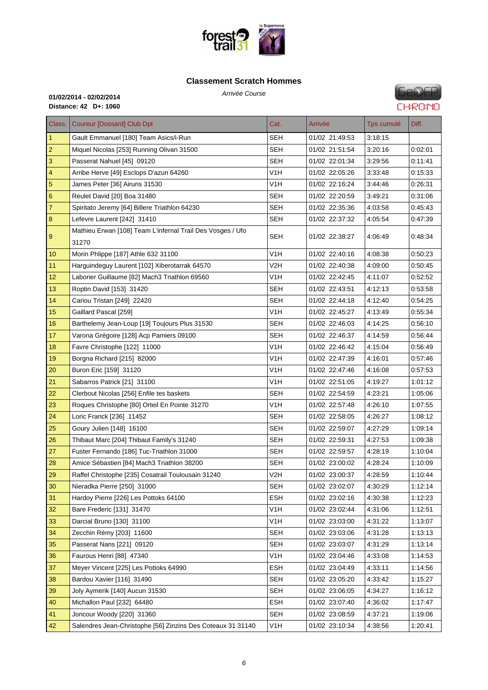

#### **Cla[ssement Scratch Homm](http://www.foresttrail31.fr/)es**

**GeOFP CHRONO** 

| Class.           | <b>Coureur [Dossard] Club Dpt</b>                           | Cat.             | Arrivée        | Tps cumulé | Diff.   |
|------------------|-------------------------------------------------------------|------------------|----------------|------------|---------|
| $\overline{1}$   | Gault Emmanuel [180] Team Asics/i-Run                       | SEH              | 01/02 21:49:53 | 3:18:15    |         |
| $\sqrt{2}$       | Miquel Nicolas [253] Running Olivan 31500                   | SEH              | 01/02 21:51:54 | 3:20:16    | 0:02:01 |
| $\mathbf{3}$     | Passerat Nahuel [45] 09120                                  | <b>SEH</b>       | 01/02 22:01:34 | 3:29:56    | 0:11:41 |
| 4                | Arribe Herve [49] Esclops D'azun 64260                      | V1H              | 01/02 22:05:26 | 3:33:48    | 0:15:33 |
| $\overline{5}$   | James Peter [36] Airuns 31530                               | V1H              | 01/02 22:16:24 | 3:44:46    | 0.26:31 |
| $\boldsymbol{6}$ | Reulet David [20] Boa 31480                                 | SEH              | 01/02 22:20:59 | 3:49:21    | 0:31:06 |
| $\overline{7}$   | Spiritato Jeremy [64] Billere Triathlon 64230               | <b>SEH</b>       | 01/02 22:35:36 | 4:03:58    | 0:45:43 |
| 8                | Lefevre Laurent [242] 31410                                 | SEH              | 01/02 22:37:32 | 4:05:54    | 0:47:39 |
| $\overline{9}$   | Mathieu Erwan [108] Team L'infernal Trail Des Vosges / Ufo  | SEH              | 01/02 22:38:27 | 4:06:49    | 0:48:34 |
|                  | 31270                                                       |                  |                |            |         |
| 10               | Morin Phlippe [187] Athle 632 31100                         | V1H              | 01/02 22:40:16 | 4:08:38    | 0:50:23 |
| 11               | Harguindeguy Laurent [102] Xiberotarrak 64570               | V2H              | 01/02 22:40:38 | 4:09:00    | 0:50:45 |
| 12               | Laborier Guillaume [82] Mach3 Triathlon 69560               | V1H              | 01/02 22:42:45 | 4:11:07    | 0.52:52 |
| 13               | Roptin David [153] 31420                                    | <b>SEH</b>       | 01/02 22:43:51 | 4:12:13    | 0.53.58 |
| 14               | Cariou Tristan [249] 22420                                  | SEH              | 01/02 22:44:18 | 4:12:40    | 0:54:25 |
| 15               | Gaillard Pascal [259]                                       | V1H              | 01/02 22:45:27 | 4:13:49    | 0.55.34 |
| 16               | Barthelemy Jean-Loup [19] Toujours Plus 31530               | SEH              | 01/02 22:46:03 | 4:14:25    | 0.56:10 |
| 17               | Varona Grégoire [128] Acp Pamiers 09100                     | <b>SEH</b>       | 01/02 22:46:37 | 4:14:59    | 0:56:44 |
| 18               | Favre Christophe [122] 11000                                | V1H              | 01/02 22:46:42 | 4:15:04    | 0:56:49 |
| 19               | Borgna Richard [215] 82000                                  | V <sub>1</sub> H | 01/02 22:47:39 | 4:16:01    | 0.57:46 |
| 20               | Buron Eric [159] 31120                                      | V1H              | 01/02 22:47:46 | 4:16:08    | 0:57:53 |
| 21               | Sabarros Patrick [21] 31100                                 | V1H              | 01/02 22:51:05 | 4:19:27    | 1:01:12 |
| 22               | Clerbout Nicolas [256] Enfile tes baskets                   | <b>SEH</b>       | 01/02 22:54:59 | 4:23:21    | 1:05:06 |
| 23               | Roques Christophe [80] Orteil En Pointe 31270               | V1H              | 01/02 22:57:48 | 4:26:10    | 1:07:55 |
| 24               | Loric Franck [236] 11452                                    | <b>SEH</b>       | 01/02 22:58:05 | 4:26:27    | 1:08:12 |
| 25               | Goury Julien [148] 16100                                    | SEH              | 01/02 22:59:07 | 4:27:29    | 1:09:14 |
| 26               | Thibaut Marc [204] Thibaut Family's 31240                   | SEH              | 01/02 22:59:31 | 4:27:53    | 1:09:38 |
| 27               | Fuster Fernando [186] Tuc-Triathlon 31000                   | SEH              | 01/02 22:59:57 | 4:28:19    | 1:10:04 |
| 28               | Amice Sébastien [84] Mach3 Triathlon 38200                  | <b>SEH</b>       | 01/02 23:00:02 | 4:28:24    | 1:10:09 |
| 29               | Raffel Christophe [235] Cosatrail Toulousain 31240          | V2H              | 01/02 23:00:37 | 4:28:59    | 1:10:44 |
| 30               | Nieradka Pierre [250] 31000                                 | <b>SEH</b>       | 01/02 23:02:07 | 4:30:29    | 1:12:14 |
| 31               | Hardoy Pierre [226] Les Pottoks 64100                       | <b>ESH</b>       | 01/02 23:02:16 | 4:30:38    | 1:12:23 |
| 32               | Bare Frederic [131] 31470                                   | V <sub>1</sub> H | 01/02 23:02:44 | 4:31:06    | 1:12:51 |
| 33               | Darcial Bruno [130] 31100                                   | V <sub>1</sub> H | 01/02 23:03:00 | 4:31:22    | 1:13:07 |
| 34               | Zecchin Rémy [203] 11600                                    | SEH              | 01/02 23:03:06 | 4:31:28    | 1:13:13 |
| 35               | Passerat Nans [221] 09120                                   | <b>SEH</b>       | 01/02 23:03:07 | 4:31:29    | 1:13:14 |
| 36               | Faurous Henri [88] 47340                                    | V <sub>1</sub> H | 01/02 23:04:46 | 4:33:08    | 1:14:53 |
| 37               | Meyer Vincent [225] Les Pottoks 64990                       | <b>ESH</b>       | 01/02 23:04:49 | 4:33:11    | 1:14:56 |
| 38               | Bardou Xavier [116] 31490                                   | <b>SEH</b>       | 01/02 23:05:20 | 4:33:42    | 1:15:27 |
| 39               | Joly Aymerik [140] Aucun 31530                              | <b>SEH</b>       | 01/02 23:06:05 | 4:34:27    | 1:16:12 |
| 40               | Michallon Paul [232] 64480                                  | <b>ESH</b>       | 01/02 23:07:40 | 4:36:02    | 1:17:47 |
| 41               | Joncour Woody [220] 31360                                   | <b>SEH</b>       | 01/02 23:08:59 | 4:37:21    | 1:19:06 |
| 42               | Salendres Jean-Christophe [56] Zinzins Des Coteaux 31 31140 | V1H              | 01/02 23:10:34 | 4:38:56    | 1:20:41 |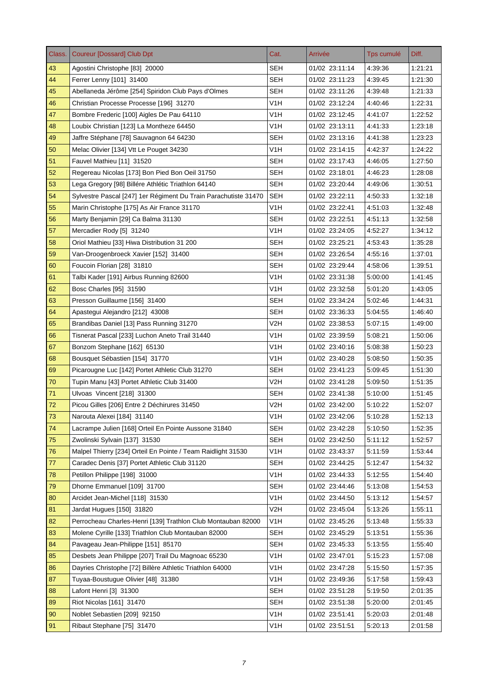| Class. | <b>Coureur [Dossard] Club Dpt</b>                               | Cat.             | Arrivée        | Tps cumulé | Diff.   |
|--------|-----------------------------------------------------------------|------------------|----------------|------------|---------|
| 43     | Agostini Christophe [83] 20000                                  | <b>SEH</b>       | 01/02 23:11:14 | 4:39:36    | 1:21:21 |
| 44     | Ferrer Lenny [101] 31400                                        | <b>SEH</b>       | 01/02 23:11:23 | 4:39:45    | 1:21:30 |
| 45     | Abellaneda Jérôme [254] Spiridon Club Pays d'Olmes              | <b>SEH</b>       | 01/02 23:11:26 | 4:39:48    | 1:21:33 |
| 46     | Christian Processe Processe [196] 31270                         | V1H              | 01/02 23:12:24 | 4:40:46    | 1:22:31 |
| 47     | Bombre Frederic [100] Aigles De Pau 64110                       | V1H              | 01/02 23:12:45 | 4:41:07    | 1:22:52 |
| 48     | Loubix Christian [123] La Montheze 64450                        | V <sub>1</sub> H | 01/02 23:13:11 | 4:41:33    | 1:23:18 |
| 49     | Jaffre Stéphane [78] Sauvagnon 64 64230                         | <b>SEH</b>       | 01/02 23:13:16 | 4:41:38    | 1:23:23 |
| 50     | Melac Olivier [134] Vtt Le Pouget 34230                         | V1H              | 01/02 23:14:15 | 4:42:37    | 1:24:22 |
| 51     | Fauvel Mathieu [11] 31520                                       | SEH              | 01/02 23:17:43 | 4:46:05    | 1:27:50 |
| 52     | Regereau Nicolas [173] Bon Pied Bon Oeil 31750                  | <b>SEH</b>       | 01/02 23:18:01 | 4:46:23    | 1:28:08 |
| 53     | Lega Gregory [98] Billére Athlétic Triathlon 64140              | SEH              | 01/02 23:20:44 | 4:49:06    | 1:30:51 |
| 54     | Sylvestre Pascal [247] 1er Régiment Du Train Parachutiste 31470 | <b>SEH</b>       | 01/02 23:22:11 | 4:50:33    | 1:32:18 |
| 55     | Marin Christophe [175] As Air France 31170                      | V <sub>1</sub> H | 01/02 23:22:41 | 4:51:03    | 1:32:48 |
| 56     | Marty Benjamin [29] Ca Balma 31130                              | <b>SEH</b>       | 01/02 23:22:51 | 4:51:13    | 1:32:58 |
| 57     | Mercadier Rody [5] 31240                                        | V1H              | 01/02 23:24:05 | 4:52:27    | 1:34:12 |
| 58     | Oriol Mathieu [33] Hiwa Distribution 31 200                     | <b>SEH</b>       | 01/02 23:25:21 | 4:53:43    | 1:35:28 |
| 59     | Van-Droogenbroeck Xavier [152] 31400                            | <b>SEH</b>       | 01/02 23:26:54 | 4:55:16    | 1:37:01 |
| 60     | Foucoin Florian [28] 31810                                      | <b>SEH</b>       | 01/02 23:29:44 | 4:58:06    | 1:39:51 |
| 61     | Talbi Kader [191] Airbus Running 82600                          | V1H              | 01/02 23:31:38 | 5:00:00    | 1:41:45 |
| 62     | Bosc Charles [95] 31590                                         | V <sub>1</sub> H | 01/02 23:32:58 | 5:01:20    | 1:43:05 |
| 63     | Presson Guillaume [156] 31400                                   | <b>SEH</b>       | 01/02 23:34:24 | 5:02:46    | 1:44:31 |
| 64     | Apastegui Alejandro [212] 43008                                 | <b>SEH</b>       | 01/02 23:36:33 | 5:04:55    | 1:46:40 |
| 65     | Brandibas Daniel [13] Pass Running 31270                        | V2H              | 01/02 23:38:53 | 5:07:15    | 1:49:00 |
| 66     | Tisnerat Pascal [233] Luchon Aneto Trail 31440                  | V <sub>1</sub> H | 01/02 23:39:59 | 5:08:21    | 1:50:06 |
| 67     | Bonzom Stephane [162] 65130                                     | V1H              | 01/02 23:40:16 | 5:08:38    | 1:50:23 |
| 68     | Bousquet Sébastien [154] 31770                                  | V1H              | 01/02 23:40:28 | 5:08:50    | 1:50:35 |
| 69     | Picarougne Luc [142] Portet Athletic Club 31270                 | <b>SEH</b>       | 01/02 23:41:23 | 5:09:45    | 1:51:30 |
| 70     | Tupin Manu [43] Portet Athletic Club 31400                      | V2H              | 01/02 23:41:28 | 5:09:50    | 1:51:35 |
| 71     | Ulvoas Vincent [218] 31300                                      | <b>SEH</b>       | 01/02 23:41:38 | 5:10:00    | 1:51:45 |
| 72     | Picou Gilles [206] Entre 2 Déchirures 31450                     | V2H              | 01/02 23:42:00 | 5:10:22    | 1:52:07 |
| 73     | Narouta Alexei [184] 31140                                      | V <sub>1</sub> H | 01/02 23:42:06 | 5:10:28    | 1:52:13 |
| 74     | Lacrampe Julien [168] Orteil En Pointe Aussone 31840            | <b>SEH</b>       | 01/02 23:42:28 | 5:10:50    | 1:52:35 |
| 75     | Zwolinski Sylvain [137] 31530                                   | <b>SEH</b>       | 01/02 23:42:50 | 5:11:12    | 1:52:57 |
| 76     | Malpel Thierry [234] Orteil En Pointe / Team Raidlight 31530    | V1H              | 01/02 23:43:37 | 5:11:59    | 1:53:44 |
| 77     | Caradec Denis [37] Portet Athletic Club 31120                   | <b>SEH</b>       | 01/02 23:44:25 | 5:12:47    | 1:54:32 |
| 78     | Petillon Philippe [198] 31000                                   | V <sub>1</sub> H | 01/02 23:44:33 | 5:12:55    | 1:54:40 |
| 79     | Dhorne Emmanuel [109] 31700                                     | <b>SEH</b>       | 01/02 23:44:46 | 5:13:08    | 1:54:53 |
| 80     | Arcidet Jean-Michel [118] 31530                                 | V <sub>1</sub> H | 01/02 23:44:50 | 5:13:12    | 1:54:57 |
| 81     | Jardat Hugues [150] 31820                                       | V2H              | 01/02 23:45:04 | 5:13:26    | 1:55:11 |
| 82     | Perrocheau Charles-Henri [139] Trathlon Club Montauban 82000    | V1H              | 01/02 23:45:26 | 5:13:48    | 1:55:33 |
| 83     | Molene Cyrille [133] Triathlon Club Montauban 82000             | SEH              | 01/02 23:45:29 | 5:13:51    | 1:55:36 |
| 84     | Pavageau Jean-Philippe [151] 85170                              | <b>SEH</b>       | 01/02 23:45:33 | 5:13:55    | 1:55:40 |
| 85     | Desbets Jean Philippe [207] Trail Du Magnoac 65230              | V1H              | 01/02 23:47:01 | 5:15:23    | 1:57:08 |
| 86     | Dayries Christophe [72] Billère Athletic Triathlon 64000        | V1H              | 01/02 23:47:28 | 5:15:50    | 1:57:35 |
| 87     | Tuyaa-Boustugue Olivier [48] 31380                              | V <sub>1</sub> H | 01/02 23:49:36 | 5:17:58    | 1:59:43 |
| 88     | Lafont Henri [3] 31300                                          | <b>SEH</b>       | 01/02 23:51:28 | 5:19:50    | 2:01:35 |
| 89     | Riot Nicolas [161] 31470                                        | <b>SEH</b>       | 01/02 23:51:38 | 5:20:00    | 2:01:45 |
| 90     | Noblet Sebastien [209] 92150                                    | V <sub>1</sub> H | 01/02 23:51:41 | 5:20:03    | 2:01:48 |
| 91     | Ribaut Stephane [75] 31470                                      | V <sub>1</sub> H | 01/02 23:51:51 | 5:20:13    | 2:01:58 |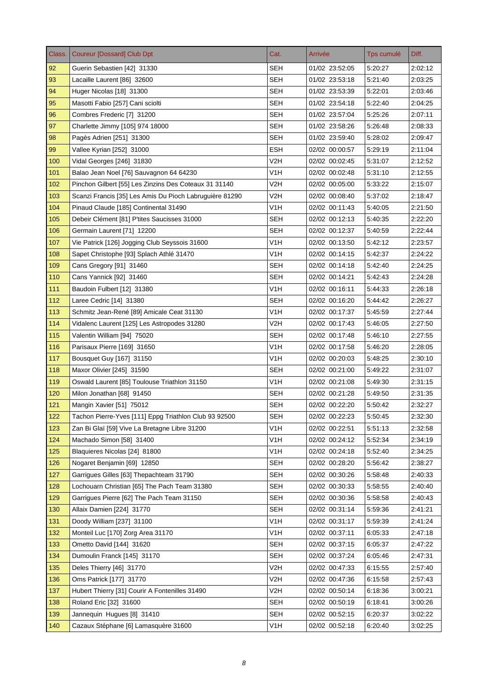| Class. | <b>Coureur [Dossard] Club Dpt</b>                       | Cat.             | Arrivée        | Tps cumulé | Diff.   |
|--------|---------------------------------------------------------|------------------|----------------|------------|---------|
| 92     | Guerin Sebastien [42] 31330                             | <b>SEH</b>       | 01/02 23:52:05 | 5:20:27    | 2:02:12 |
| 93     | Lacaille Laurent [86] 32600                             | <b>SEH</b>       | 01/02 23:53:18 | 5:21:40    | 2:03:25 |
| 94     | Huger Nicolas [18] 31300                                | <b>SEH</b>       | 01/02 23:53:39 | 5:22:01    | 2:03:46 |
| 95     | Masotti Fabio [257] Cani sciolti                        | SEH              | 01/02 23:54:18 | 5:22:40    | 2:04:25 |
| 96     | Combres Frederic [7] 31200                              | SEH              | 01/02 23:57:04 | 5:25:26    | 2:07:11 |
| 97     | Charlette Jimmy [105] 974 18000                         | SEH              | 01/02 23:58:26 | 5:26:48    | 2:08:33 |
| 98     | Pagès Adrien [251] 31300                                | <b>SEH</b>       | 01/02 23:59:40 | 5:28:02    | 2:09:47 |
| 99     | Vallee Kyrian [252] 31000                               | ESH              | 02/02 00:00:57 | 5:29:19    | 2:11:04 |
| 100    | Vidal Georges [246] 31830                               | V2H              | 02/02 00:02:45 | 5:31:07    | 2:12:52 |
| 101    | Balao Jean Noel [76] Sauvagnon 64 64230                 | V1H              | 02/02 00:02:48 | 5:31:10    | 2:12:55 |
| 102    | Pinchon Gilbert [55] Les Zinzins Des Coteaux 31 31140   | V <sub>2</sub> H | 02/02 00:05:00 | 5:33:22    | 2:15:07 |
| 103    | Scanzi Francis [35] Les Amis Du Pioch Labruguière 81290 | V2H              | 02/02 00:08:40 | 5:37:02    | 2:18:47 |
| 104    | Pinaud Claude [185] Continental 31490                   | V <sub>1</sub> H | 02/02 00:11:43 | 5:40:05    | 2:21:50 |
| 105    | Debeir Clément [81] P'tites Saucisses 31000             | <b>SEH</b>       | 02/02 00:12:13 | 5:40:35    | 2:22:20 |
| 106    | Germain Laurent [71] 12200                              | SEH              | 02/02 00:12:37 | 5:40:59    | 2:22:44 |
| 107    | Vie Patrick [126] Jogging Club Seyssois 31600           | V <sub>1</sub> H | 02/02 00:13:50 | 5:42:12    | 2:23:57 |
| 108    | Sapet Christophe [93] Splach Athlé 31470                | V1H              | 02/02 00:14:15 | 5:42:37    | 2:24:22 |
| 109    | Cans Gregory [91] 31460                                 | <b>SEH</b>       | 02/02 00:14:18 | 5:42:40    | 2:24:25 |
| 110    | Cans Yannick [92] 31460                                 | SEH              | 02/02 00:14:21 | 5:42:43    | 2:24:28 |
| 111    | Baudoin Fulbert [12] 31380                              | V1H              | 02/02 00:16:11 | 5:44:33    | 2:26:18 |
| 112    | Laree Cedric [14] 31380                                 | SEH              | 02/02 00:16:20 | 5:44:42    | 2:26:27 |
| 113    | Schmitz Jean-René [89] Amicale Ceat 31130               | V1H              | 02/02 00:17:37 | 5:45:59    | 2:27:44 |
| 114    | Vidalenc Laurent [125] Les Astropodes 31280             | V <sub>2</sub> H | 02/02 00:17:43 | 5:46:05    | 2:27:50 |
| 115    | Valentin William [94] 75020                             | <b>SEH</b>       | 02/02 00:17:48 | 5:46:10    | 2:27:55 |
| 116    | Parisaux Pierre [169] 31650                             | V1H              | 02/02 00:17:58 | 5:46:20    | 2:28:05 |
| 117    | Bousquet Guy [167] 31150                                | V1H              | 02/02 00:20:03 | 5:48:25    | 2:30:10 |
| 118    | Maxor Olivier [245] 31590                               | <b>SEH</b>       | 02/02 00:21:00 | 5:49:22    | 2:31:07 |
| 119    | Oswald Laurent [85] Toulouse Triathlon 31150            | V1H              | 02/02 00:21:08 | 5:49:30    | 2:31:15 |
| 120    | Milon Jonathan [68] 91450                               | <b>SEH</b>       | 02/02 00:21:28 | 5:49:50    | 2.31.35 |
| 121    | Mangin Xavier [51] 75012                                | SEH              | 02/02 00:22:20 | 5:50:42    | 2:32:27 |
| 122    | Tachon Pierre-Yves [111] Eppg Triathlon Club 93 92500   | <b>SEH</b>       | 02/02 00:22:23 | 5:50:45    | 2:32:30 |
| 123    | Zan Bi Glaï [59] Vive La Bretagne Libre 31200           | V <sub>1</sub> H | 02/02 00:22:51 | 5:51:13    | 2:32:58 |
| 124    | Machado Simon [58] 31400                                | V <sub>1</sub> H | 02/02 00:24:12 | 5:52:34    | 2:34:19 |
| 125    | Blaquieres Nicolas [24] 81800                           | V <sub>1</sub> H | 02/02 00:24:18 | 5:52:40    | 2:34:25 |
| 126    | Nogaret Benjamin [69] 12850                             | <b>SEH</b>       | 02/02 00:28:20 | 5:56:42    | 2:38:27 |
| 127    | Garriques Gilles [63] Thepachteam 31790                 | <b>SEH</b>       | 02/02 00:30:26 | 5:58:48    | 2:40:33 |
| 128    | Lochouarn Christian [65] The Pach Team 31380            | <b>SEH</b>       | 02/02 00:30:33 | 5:58:55    | 2:40:40 |
| 129    | Garriques Pierre [62] The Pach Team 31150               | <b>SEH</b>       | 02/02 00:30:36 | 5:58:58    | 2:40:43 |
| 130    | Allaix Damien [224] 31770                               | <b>SEH</b>       | 02/02 00:31:14 | 5.59.36    | 2:41:21 |
| 131    | Doody William [237] 31100                               | V1H              | 02/02 00:31:17 | 5:59:39    | 2.41.24 |
| 132    | Monteil Luc [170] Zorg Area 31170                       | V <sub>1</sub> H | 02/02 00:37:11 | 6:05:33    | 2:47:18 |
| 133    | Ometto David [144] 31620                                | <b>SEH</b>       | 02/02 00:37:15 | 6:05:37    | 2:47:22 |
| 134    | Dumoulin Franck [145] 31170                             | <b>SEH</b>       | 02/02 00:37:24 | 6:05:46    | 2:47:31 |
| 135    | Deles Thierry [46] 31770                                | V2H              | 02/02 00:47:33 | 6:15:55    | 2.57.40 |
| 136    | Oms Patrick [177] 31770                                 | V2H              | 02/02 00:47:36 | 6:15:58    | 2.57.43 |
| 137    | Hubert Thierry [31] Courir A Fontenilles 31490          | V2H              | 02/02 00:50:14 | 6:18:36    | 3:00:21 |
| 138    | Roland Eric [32] 31600                                  | <b>SEH</b>       | 02/02 00:50:19 | 6:18:41    | 3:00:26 |
| 139    | Jannequin Hugues [8] 31410                              | <b>SEH</b>       | 02/02 00:52:15 | 6:20:37    | 3:02:22 |
| 140    | Cazaux Stéphane [6] Lamasquère 31600                    | V <sub>1</sub> H | 02/02 00:52:18 | 6:20:40    | 3:02:25 |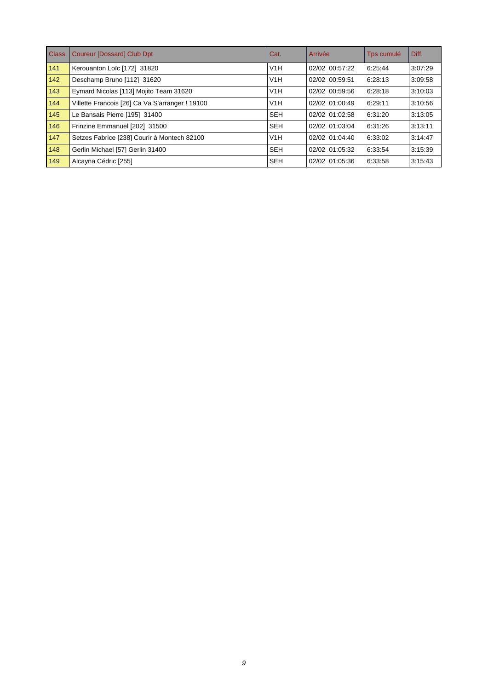| Class. | <b>Coureur [Dossard] Club Dpt</b>               | Cat.       | Arrivée        | Tps cumulé | Diff.   |
|--------|-------------------------------------------------|------------|----------------|------------|---------|
| 141    | Kerouanton Loïc [172] 31820                     | V1H        | 02/02 00:57:22 | 6:25:44    | 3:07:29 |
| 142    | Deschamp Bruno [112] 31620                      | V1H        | 02/02 00:59:51 | 6:28:13    | 3:09:58 |
| 143    | Eymard Nicolas [113] Mojito Team 31620          | V1H        | 02/02 00:59:56 | 6:28:18    | 3:10:03 |
| 144    | Villette Francois [26] Ca Va S'arranger ! 19100 | V1H        | 02/02 01:00:49 | 6:29:11    | 3:10:56 |
| 145    | Le Bansais Pierre [195] 31400                   | <b>SEH</b> | 02/02 01:02:58 | 6:31:20    | 3:13:05 |
| 146    | Frinzine Emmanuel [202] 31500                   | <b>SEH</b> | 02/02 01:03:04 | 6:31:26    | 3:13:11 |
| 147    | Setzes Fabrice [238] Courir à Montech 82100     | V1H        | 02/02 01:04:40 | 6:33:02    | 3:14:47 |
| 148    | Gerlin Michael [57] Gerlin 31400                | <b>SEH</b> | 02/02 01:05:32 | 6:33:54    | 3:15:39 |
| 149    | Alcayna Cédric [255]                            | <b>SEH</b> | 02/02 01:05:36 | 6:33:58    | 3:15:43 |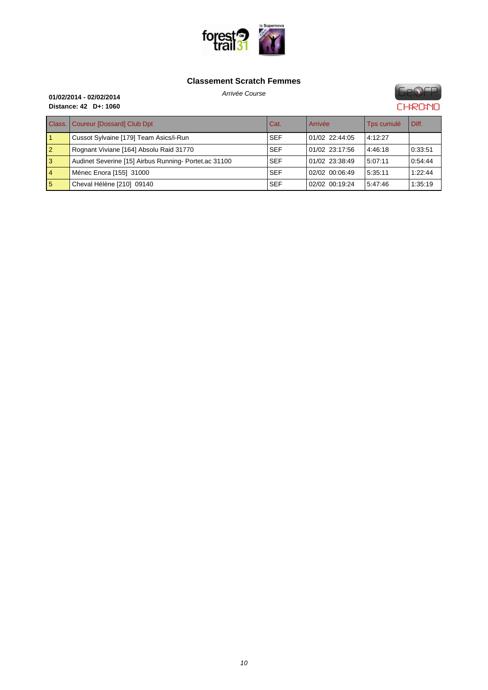

#### **Cla[ssement Scratch Femm](http://www.foresttrail31.fr/)es**



|                 | <b>Class.   Coureur [Dossard] Club Dpt</b>           | Cat.       | Arrivée        | Tps cumulé | Diff.   |
|-----------------|------------------------------------------------------|------------|----------------|------------|---------|
|                 | Cussot Sylvaine [179] Team Asics/i-Run               | <b>SEF</b> | 01/02 22:44:05 | 4:12:27    |         |
| $\overline{2}$  | Rognant Viviane [164] Absolu Raid 31770              | <b>SEF</b> | 01/02 23:17:56 | 4:46:18    | 0:33:51 |
| 3               | Audinet Severine [15] Airbus Running-Portet.ac 31100 | <b>SEF</b> | 01/02 23:38:49 | 5:07:11    | 0:54:44 |
| $\vert 4 \vert$ | Ménec Enora [155] 31000                              | <b>SEF</b> | 02/02 00:06:49 | 5:35:11    | 1:22:44 |
| 5               | Cheval Hélène [210] 09140                            | <b>SEF</b> | 02/02 00:19:24 | 5:47:46    | 1:35:19 |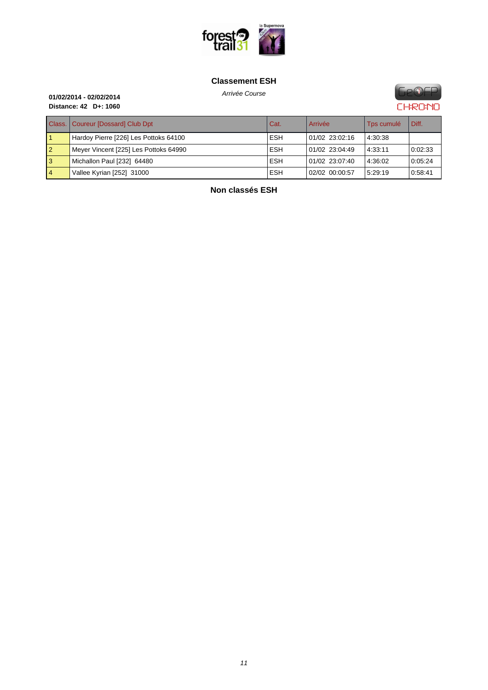

#### **[Classement ESH](http://www.foresttrail31.fr/)**

**GeOFP CHRONO** 

## Arrivée Course **01/02/2014 - 02/02/2014 Distance: 42 D+: 1060**

|                | Class.   Coureur [Dossard] Club Dpt   | Cat.       | Arrivée        | Tps cumulé | Diff.   |
|----------------|---------------------------------------|------------|----------------|------------|---------|
|                | Hardoy Pierre [226] Les Pottoks 64100 | <b>ESH</b> | 01/02 23:02:16 | 4:30:38    |         |
| $\overline{2}$ | Meyer Vincent [225] Les Pottoks 64990 | <b>ESH</b> | 01/02 23:04:49 | 4:33:11    | 0:02:33 |
| <b>3</b>       | Michallon Paul [232] 64480            | <b>ESH</b> | 01/02 23:07:40 | 4:36:02    | 0:05:24 |
| $\overline{4}$ | Vallee Kyrian [252] 31000             | <b>ESH</b> | 02/02 00:00:57 | 5:29:19    | 0.58:41 |

**Non classés ESH**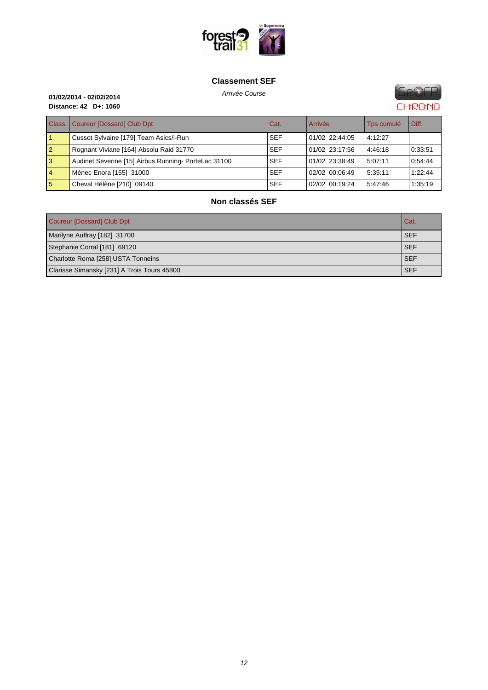

#### **[Classement SEF](http://www.foresttrail31.fr/)**

**GeOFP CHRONO** 

## Arrivée Course **01/02/2014 - 02/02/2014 Distance: 42 D+: 1060**

| Class.         | Coureur [Dossard] Club Dpt                           | Cat.       | Arrivée        | Tps cumulé | Diff.   |
|----------------|------------------------------------------------------|------------|----------------|------------|---------|
|                | Cussot Sylvaine [179] Team Asics/i-Run               | <b>SEF</b> | 01/02 22:44:05 | 4:12:27    |         |
| 12             | Rognant Viviane [164] Absolu Raid 31770              | <b>SEF</b> | 01/02 23:17:56 | 4:46:18    | 0:33:51 |
| <b>3</b>       | Audinet Severine [15] Airbus Running-Portet.ac 31100 | <b>SEF</b> | 01/02 23:38:49 | 5:07:11    | 0:54:44 |
| $\overline{4}$ | Ménec Enora [155] 31000                              | <b>SEF</b> | 02/02 00:06:49 | 5:35:11    | 1:22:44 |
| 5              | Cheval Hélène [210] 09140                            | <b>SEF</b> | 02/02 00:19:24 | 5:47:46    | 1:35:19 |

## **Non classés SEF**

| Coureur [Dossard] Club Dpt<br>Cat           |            |  |
|---------------------------------------------|------------|--|
| Marilyne Auffray [182] 31700                | l SEF      |  |
| Stephanie Corral [181] 69120                | <b>SEF</b> |  |
| Charlotte Roma [258] USTA Tonneins          | <b>SEF</b> |  |
| Clarisse Simansky [231] A Trois Tours 45800 | <b>SEF</b> |  |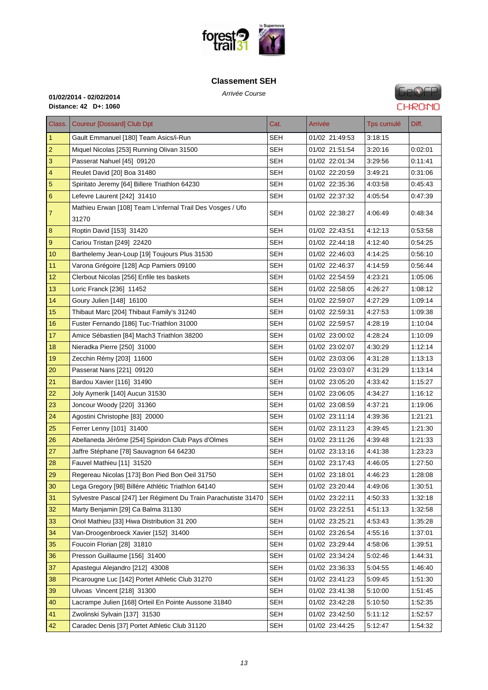

#### **[Classement SEH](http://www.foresttrail31.fr/)**



| Class.         | <b>Coureur [Dossard] Club Dpt</b>                                   | Cat.       | Arrivée        | Tps cumulé | Diff.   |
|----------------|---------------------------------------------------------------------|------------|----------------|------------|---------|
| $\mathbf{1}$   | Gault Emmanuel [180] Team Asics/i-Run                               | <b>SEH</b> | 01/02 21:49:53 | 3:18:15    |         |
| $\overline{2}$ | Miquel Nicolas [253] Running Olivan 31500                           | SEH        | 01/02 21:51:54 | 3:20:16    | 0:02:01 |
| 3              | Passerat Nahuel [45] 09120                                          | <b>SEH</b> | 01/02 22:01:34 | 3:29:56    | 0:11:41 |
| $\overline{4}$ | Reulet David [20] Boa 31480                                         | SEH        | 01/02 22:20:59 | 3:49:21    | 0:31:06 |
| 5              | Spiritato Jeremy [64] Billere Triathlon 64230                       | SEH        | 01/02 22:35:36 | 4:03:58    | 0:45:43 |
| 6              | Lefevre Laurent [242] 31410                                         | SEH        | 01/02 22:37:32 | 4:05:54    | 0:47:39 |
| 7              | Mathieu Erwan [108] Team L'infernal Trail Des Vosges / Ufo<br>31270 | SEH        | 01/02 22:38:27 | 4:06:49    | 0:48:34 |
| 8              | Roptin David [153] 31420                                            | <b>SEH</b> | 01/02 22:43:51 | 4:12:13    | 0:53:58 |
| 9              | Cariou Tristan [249] 22420                                          | <b>SEH</b> | 01/02 22:44:18 | 4:12:40    | 0:54:25 |
| 10             | Barthelemy Jean-Loup [19] Toujours Plus 31530                       | SEH        | 01/02 22:46:03 | 4:14:25    | 0:56:10 |
| 11             | Varona Grégoire [128] Acp Pamiers 09100                             | <b>SEH</b> | 01/02 22:46:37 | 4:14:59    | 0:56:44 |
| 12             | Clerbout Nicolas [256] Enfile tes baskets                           | SEH        | 01/02 22:54:59 | 4:23:21    | 1:05:06 |
| 13             | Loric Franck [236] 11452                                            | SEH        | 01/02 22:58:05 | 4:26:27    | 1:08:12 |
| 14             | Goury Julien [148] 16100                                            | SEH        | 01/02 22:59:07 | 4:27:29    | 1:09:14 |
| 15             | Thibaut Marc [204] Thibaut Family's 31240                           | SEH        | 01/02 22:59:31 | 4:27:53    | 1.09.38 |
| 16             | Fuster Fernando [186] Tuc-Triathlon 31000                           | SEH        | 01/02 22:59:57 | 4:28:19    | 1:10:04 |
| 17             | Amice Sébastien [84] Mach3 Triathlon 38200                          | <b>SEH</b> | 01/02 23:00:02 | 4:28:24    | 1:10:09 |
| 18             | Nieradka Pierre [250] 31000                                         | <b>SEH</b> | 01/02 23:02:07 | 4:30:29    | 1:12:14 |
| 19             | Zecchin Rémy [203] 11600                                            | SEH        | 01/02 23:03:06 | 4:31:28    | 1:13:13 |
| 20             | Passerat Nans [221] 09120                                           | <b>SEH</b> | 01/02 23:03:07 | 4:31:29    | 1:13:14 |
| 21             | Bardou Xavier [116] 31490                                           | SEH        | 01/02 23:05:20 | 4:33:42    | 1:15:27 |
| 22             | Joly Aymerik [140] Aucun 31530                                      | <b>SEH</b> | 01/02 23:06:05 | 4:34:27    | 1:16:12 |
| 23             | Joncour Woody [220] 31360                                           | SEH        | 01/02 23:08:59 | 4:37:21    | 1:19:06 |
| 24             | Agostini Christophe [83] 20000                                      | <b>SEH</b> | 01/02 23:11:14 | 4:39:36    | 1:21:21 |
| 25             | Ferrer Lenny [101] 31400                                            | <b>SEH</b> | 01/02 23:11:23 | 4:39:45    | 1:21:30 |
| 26             | Abellaneda Jérôme [254] Spiridon Club Pays d'Olmes                  | <b>SEH</b> | 01/02 23:11:26 | 4:39:48    | 1.21.33 |
| 27             | Jaffre Stéphane [78] Sauvagnon 64 64230                             | SEH        | 01/02 23:13:16 | 4:41:38    | 1:23:23 |
| 28             | Fauvel Mathieu [11] 31520                                           | <b>SEH</b> | 01/02 23:17:43 | 4:46:05    | 1:27:50 |
| 29             | Regereau Nicolas [173] Bon Pied Bon Oeil 31750                      | <b>SEH</b> | 01/02 23:18:01 | 4:46:23    | 1.28:08 |
| 30             | Lega Gregory [98] Billére Athlétic Triathlon 64140                  | <b>SEH</b> | 01/02 23:20:44 | 4:49:06    | 1:30:51 |
| 31             | Sylvestre Pascal [247] 1er Régiment Du Train Parachutiste 31470     | <b>SEH</b> | 01/02 23:22:11 | 4:50:33    | 1:32:18 |
| 32             | Marty Benjamin [29] Ca Balma 31130                                  | <b>SEH</b> | 01/02 23:22:51 | 4:51:13    | 1:32:58 |
| 33             | Oriol Mathieu [33] Hiwa Distribution 31 200                         | <b>SEH</b> | 01/02 23:25:21 | 4:53:43    | 1:35:28 |
| 34             | Van-Droogenbroeck Xavier [152] 31400                                | SEH        | 01/02 23:26:54 | 4:55:16    | 1:37:01 |
| 35             | Foucoin Florian [28] 31810                                          | <b>SEH</b> | 01/02 23:29:44 | 4:58:06    | 1:39:51 |
| 36             | Presson Guillaume [156] 31400                                       | <b>SEH</b> | 01/02 23:34:24 | 5:02:46    | 1:44:31 |
| 37             | Apastegui Alejandro [212] 43008                                     | <b>SEH</b> | 01/02 23:36:33 | 5:04:55    | 1:46:40 |
| 38             | Picarougne Luc [142] Portet Athletic Club 31270                     | <b>SEH</b> | 01/02 23:41:23 | 5:09:45    | 1:51:30 |
| 39             | Ulvoas Vincent [218] 31300                                          | <b>SEH</b> | 01/02 23:41:38 | 5:10:00    | 1:51:45 |
| 40             | Lacrampe Julien [168] Orteil En Pointe Aussone 31840                | <b>SEH</b> | 01/02 23:42:28 | 5:10:50    | 1:52:35 |
| 41             | Zwolinski Sylvain [137] 31530                                       | <b>SEH</b> | 01/02 23:42:50 | 5:11:12    | 1:52:57 |
| 42             | Caradec Denis [37] Portet Athletic Club 31120                       | SEH        | 01/02 23:44:25 | 5:12:47    | 1:54:32 |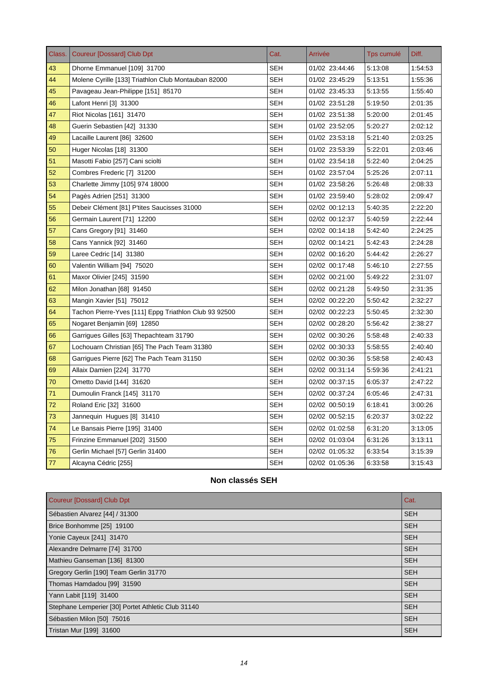| Class. | <b>Coureur [Dossard] Club Dpt</b>                     | Cat.       | Arrivée        | Tps cumulé | Diff.   |
|--------|-------------------------------------------------------|------------|----------------|------------|---------|
| 43     | Dhorne Emmanuel [109] 31700                           | <b>SEH</b> | 01/02 23:44:46 | 5:13:08    | 1:54:53 |
| 44     | Molene Cyrille [133] Triathlon Club Montauban 82000   | <b>SEH</b> | 01/02 23:45:29 | 5:13:51    | 1:55:36 |
| 45     | Pavageau Jean-Philippe [151] 85170                    | SEH        | 01/02 23:45:33 | 5:13:55    | 1:55:40 |
| 46     | Lafont Henri [3] 31300                                | <b>SEH</b> | 01/02 23:51:28 | 5:19:50    | 2:01:35 |
| 47     | Riot Nicolas [161] 31470                              | SEH        | 01/02 23:51:38 | 5:20:00    | 2:01:45 |
| 48     | Guerin Sebastien [42] 31330                           | SEH        | 01/02 23:52:05 | 5:20:27    | 2:02:12 |
| 49     | Lacaille Laurent [86] 32600                           | <b>SEH</b> | 01/02 23:53:18 | 5:21:40    | 2:03:25 |
| 50     | Huger Nicolas [18] 31300                              | <b>SEH</b> | 01/02 23:53:39 | 5:22:01    | 2:03:46 |
| 51     | Masotti Fabio [257] Cani sciolti                      | <b>SEH</b> | 01/02 23:54:18 | 5:22:40    | 2:04:25 |
| 52     | Combres Frederic [7] 31200                            | <b>SEH</b> | 01/02 23:57:04 | 5:25:26    | 2:07:11 |
| 53     | Charlette Jimmy [105] 974 18000                       | <b>SEH</b> | 01/02 23:58:26 | 5:26:48    | 2:08:33 |
| 54     | Pagès Adrien [251] 31300                              | SEH        | 01/02 23:59:40 | 5:28:02    | 2:09:47 |
| 55     | Debeir Clément [81] P'tites Saucisses 31000           | <b>SEH</b> | 02/02 00:12:13 | 5:40:35    | 2:22:20 |
| 56     | Germain Laurent [71] 12200                            | <b>SEH</b> | 02/02 00:12:37 | 5:40:59    | 2:22:44 |
| 57     | Cans Gregory [91] 31460                               | <b>SEH</b> | 02/02 00:14:18 | 5:42:40    | 2:24:25 |
| 58     | Cans Yannick [92] 31460                               | <b>SEH</b> | 02/02 00:14:21 | 5:42:43    | 2:24:28 |
| 59     | Laree Cedric [14] 31380                               | <b>SEH</b> | 02/02 00:16:20 | 5:44:42    | 2:26:27 |
| 60     | Valentin William [94] 75020                           | <b>SEH</b> | 02/02 00:17:48 | 5:46:10    | 2:27:55 |
| 61     | Maxor Olivier [245] 31590                             | <b>SEH</b> | 02/02 00:21:00 | 5:49:22    | 2:31:07 |
| 62     | Milon Jonathan [68] 91450                             | SEH        | 02/02 00:21:28 | 5:49:50    | 2:31:35 |
| 63     | Mangin Xavier [51] 75012                              | SEH        | 02/02 00:22:20 | 5:50:42    | 2:32:27 |
| 64     | Tachon Pierre-Yves [111] Eppg Triathlon Club 93 92500 | SEH        | 02/02 00:22:23 | 5:50:45    | 2:32:30 |
| 65     | Nogaret Benjamin [69] 12850                           | <b>SEH</b> | 02/02 00:28:20 | 5:56:42    | 2:38:27 |
| 66     | Garrigues Gilles [63] Thepachteam 31790               | <b>SEH</b> | 02/02 00:30:26 | 5:58:48    | 2:40:33 |
| 67     | Lochouarn Christian [65] The Pach Team 31380          | SEH        | 02/02 00:30:33 | 5:58:55    | 2:40:40 |
| 68     | Garrigues Pierre [62] The Pach Team 31150             | <b>SEH</b> | 02/02 00:30:36 | 5:58:58    | 2:40:43 |
| 69     | Allaix Damien [224] 31770                             | <b>SEH</b> | 02/02 00:31:14 | 5:59:36    | 2:41:21 |
| 70     | Ometto David [144] 31620                              | <b>SEH</b> | 02/02 00:37:15 | 6:05:37    | 2:47:22 |
| 71     | Dumoulin Franck [145] 31170                           | <b>SEH</b> | 02/02 00:37:24 | 6:05:46    | 2:47:31 |
| 72     | Roland Eric [32] 31600                                | SEH        | 02/02 00:50:19 | 6:18:41    | 3:00:26 |
| 73     | Jannequin Hugues [8] 31410                            | <b>SEH</b> | 02/02 00:52:15 | 6:20:37    | 3:02:22 |
| 74     | Le Bansais Pierre [195] 31400                         | <b>SEH</b> | 02/02 01:02:58 | 6:31:20    | 3:13:05 |
| 75     | Frinzine Emmanuel [202] 31500                         | <b>SEH</b> | 02/02 01:03:04 | 6:31:26    | 3:13:11 |
| 76     | Gerlin Michael [57] Gerlin 31400                      | SEH        | 02/02 01:05:32 | 6:33:54    | 3:15:39 |
| 77     | Alcayna Cédric [255]                                  | SEH        | 02/02 01:05:36 | 6:33:58    | 3:15:43 |

## **Non classés SEH**

| Coureur [Dossard] Club Dpt                         | Cat.       |
|----------------------------------------------------|------------|
| Sébastien Alvarez [44] / 31300                     | <b>SEH</b> |
| Brice Bonhomme [25] 19100                          | <b>SEH</b> |
| Yonie Cayeux [241] 31470                           | <b>SEH</b> |
| Alexandre Delmarre [74] 31700                      | <b>SEH</b> |
| Mathieu Ganseman [136] 81300                       | <b>SEH</b> |
| Gregory Gerlin [190] Team Gerlin 31770             | <b>SEH</b> |
| Thomas Hamdadou [99] 31590                         | <b>SEH</b> |
| Yann Labit [119] 31400                             | <b>SEH</b> |
| Stephane Lemperier [30] Portet Athletic Club 31140 | <b>SEH</b> |
| Sébastien Milon [50] 75016                         | <b>SEH</b> |
| Tristan Mur [199] 31600                            | <b>SEH</b> |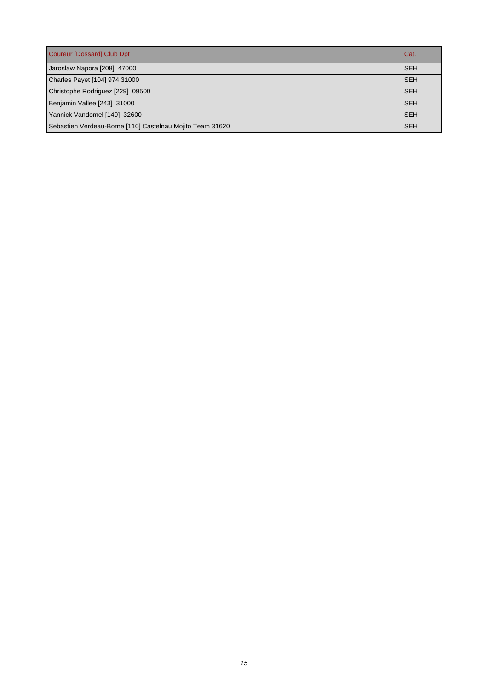| Coureur [Dossard] Club Dpt                                | Cat.       |
|-----------------------------------------------------------|------------|
| Jaroslaw Napora [208] 47000                               | <b>SEH</b> |
| Charles Payet [104] 974 31000                             | <b>SEH</b> |
| Christophe Rodriguez [229] 09500                          | <b>SEH</b> |
| Benjamin Vallee [243] 31000                               | <b>SEH</b> |
| Yannick Vandomel [149] 32600                              | <b>SEH</b> |
| Sebastien Verdeau-Borne [110] Castelnau Mojito Team 31620 | <b>SEH</b> |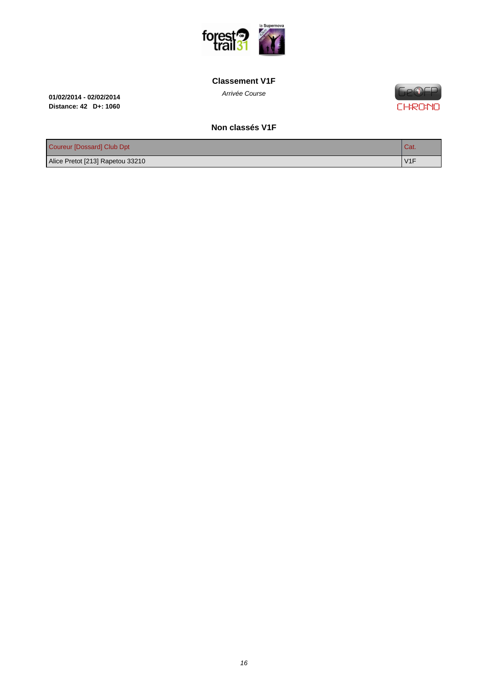

#### **[Classement V1F](http://www.foresttrail31.fr/)**

Arrivée Course **01/02/2014 - 02/02/2014 Distance: 42 D+: 1060**

**Ge®EP CHRONO** 

#### **Non classés V1F**

| Coureur [Dossard] Club Dpt       | <b>Cat.</b> |
|----------------------------------|-------------|
| Alice Pretot [213] Rapetou 33210 | V1F         |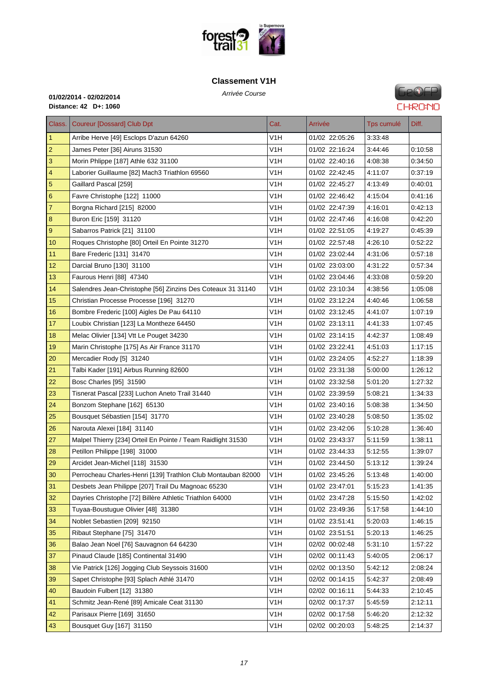

#### **[Classement V1H](http://www.foresttrail31.fr/)**



| Class. I       | <b>Coureur [Dossard] Club Dpt</b>                            | Cat.             | Arrivée        | Tps cumulé | Diff.   |
|----------------|--------------------------------------------------------------|------------------|----------------|------------|---------|
| $\mathbf{1}$   | Arribe Herve [49] Esclops D'azun 64260                       | V <sub>1</sub> H | 01/02 22:05:26 | 3:33:48    |         |
| $\overline{2}$ | James Peter [36] Airuns 31530                                | V <sub>1</sub> H | 01/02 22:16:24 | 3:44:46    | 0:10:58 |
| 3              | Morin Phlippe [187] Athle 632 31100                          | V1H              | 01/02 22:40:16 | 4:08:38    | 0:34:50 |
| 4              | Laborier Guillaume [82] Mach3 Triathlon 69560                | V <sub>1</sub> H | 01/02 22:42:45 | 4:11:07    | 0.37:19 |
| 5              | Gaillard Pascal [259]                                        | V1H              | 01/02 22:45:27 | 4:13:49    | 0:40:01 |
| 6              | Favre Christophe [122] 11000                                 | V <sub>1</sub> H | 01/02 22:46:42 | 4:15:04    | 0:41:16 |
| 7              | Borgna Richard [215] 82000                                   | V <sub>1</sub> H | 01/02 22:47:39 | 4:16:01    | 0:42:13 |
| 8              | Buron Eric [159] 31120                                       | V <sub>1</sub> H | 01/02 22:47:46 | 4:16:08    | 0:42:20 |
| 9              | Sabarros Patrick [21] 31100                                  | V <sub>1</sub> H | 01/02 22:51:05 | 4:19:27    | 0.45.39 |
| 10             | Roques Christophe [80] Orteil En Pointe 31270                | V1H              | 01/02 22:57:48 | 4:26:10    | 0:52:22 |
| 11             | Bare Frederic [131] 31470                                    | V <sub>1</sub> H | 01/02 23:02:44 | 4:31:06    | 0:57:18 |
| 12             | Darcial Bruno [130] 31100                                    | V1H              | 01/02 23:03:00 | 4:31:22    | 0.57.34 |
| 13             | Faurous Henri [88] 47340                                     | V1H              | 01/02 23:04:46 | 4:33:08    | 0.59.20 |
| 14             | Salendres Jean-Christophe [56] Zinzins Des Coteaux 31 31140  | V1H              | 01/02 23:10:34 | 4:38:56    | 1:05:08 |
| 15             | Christian Processe Processe [196] 31270                      | V <sub>1</sub> H | 01/02 23:12:24 | 4:40:46    | 1.06.58 |
| 16             | Bombre Frederic [100] Aigles De Pau 64110                    | V1H              | 01/02 23:12:45 | 4:41:07    | 1:07:19 |
| 17             | Loubix Christian [123] La Montheze 64450                     | V <sub>1</sub> H | 01/02 23:13:11 | 4:41:33    | 1:07:45 |
| 18             | Melac Olivier [134] Vtt Le Pouget 34230                      | V <sub>1</sub> H | 01/02 23:14:15 | 4:42:37    | 1:08:49 |
| 19             | Marin Christophe [175] As Air France 31170                   | V <sub>1</sub> H | 01/02 23:22:41 | 4:51:03    | 1:17:15 |
| 20             | Mercadier Rody [5] 31240                                     | V <sub>1</sub> H | 01/02 23:24:05 | 4:52:27    | 1:18:39 |
| 21             | Talbi Kader [191] Airbus Running 82600                       | V1H              | 01/02 23:31:38 | 5:00:00    | 1:26:12 |
| 22             | Bosc Charles [95] 31590                                      | V <sub>1</sub> H | 01/02 23:32:58 | 5:01:20    | 1.27:32 |
| 23             | Tisnerat Pascal [233] Luchon Aneto Trail 31440               | V1H              | 01/02 23:39:59 | 5:08:21    | 1:34:33 |
| 24             | Bonzom Stephane [162] 65130                                  | V <sub>1</sub> H | 01/02 23:40:16 | 5:08:38    | 1:34:50 |
| 25             | Bousquet Sébastien [154] 31770                               | V1H              | 01/02 23:40:28 | 5:08:50    | 1:35:02 |
| 26             | Narouta Alexei [184] 31140                                   | V <sub>1</sub> H | 01/02 23:42:06 | 5:10:28    | 1:36:40 |
| 27             | Malpel Thierry [234] Orteil En Pointe / Team Raidlight 31530 | V1H              | 01/02 23:43:37 | 5:11:59    | 1:38:11 |
| 28             | Petillon Philippe [198] 31000                                | V <sub>1</sub> H | 01/02 23:44:33 | 5:12:55    | 1:39:07 |
| 29             | Arcidet Jean-Michel [118] 31530                              | V <sub>1</sub> H | 01/02 23:44:50 | 5:13:12    | 1:39:24 |
| 30             | Perrocheau Charles-Henri [139] Trathlon Club Montauban 82000 | V1H              | 01/02 23:45:26 | 5:13:48    | 1:40:00 |
| 31             | Desbets Jean Philippe [207] Trail Du Magnoac 65230           | V <sub>1</sub> H | 01/02 23:47:01 | 5:15:23    | 1:41:35 |
| 32             | Dayries Christophe [72] Billère Athletic Triathlon 64000     | V1H              | 01/02 23:47:28 | 5:15:50    | 1:42:02 |
| 33             | Tuyaa-Boustuque Olivier [48] 31380                           | V <sub>1</sub> H | 01/02 23:49:36 | 5:17:58    | 1:44:10 |
| 34             | Noblet Sebastien [209] 92150                                 | V <sub>1</sub> H | 01/02 23:51:41 | 5:20:03    | 1:46:15 |
| 35             | Ribaut Stephane [75] 31470                                   | V <sub>1</sub> H | 01/02 23:51:51 | 5:20:13    | 1:46:25 |
| 36             | Balao Jean Noel [76] Sauvagnon 64 64230                      | V <sub>1</sub> H | 02/02 00:02:48 | 5:31:10    | 1:57:22 |
| 37             | Pinaud Claude [185] Continental 31490                        | V <sub>1</sub> H | 02/02 00:11:43 | 5:40:05    | 2:06:17 |
| 38             | Vie Patrick [126] Jogging Club Seyssois 31600                | V <sub>1</sub> H | 02/02 00:13:50 | 5:42:12    | 2:08:24 |
| 39             | Sapet Christophe [93] Splach Athlé 31470                     | V <sub>1</sub> H | 02/02 00:14:15 | 5:42:37    | 2:08:49 |
| 40             | Baudoin Fulbert [12] 31380                                   | V <sub>1</sub> H | 02/02 00:16:11 | 5:44:33    | 2:10:45 |
| 41             | Schmitz Jean-René [89] Amicale Ceat 31130                    | V <sub>1</sub> H | 02/02 00:17:37 | 5:45:59    | 2:12:11 |
| 42             | Parisaux Pierre [169] 31650                                  | V <sub>1</sub> H | 02/02 00:17:58 | 5:46:20    | 2:12:32 |
| 43             | Bousquet Guy [167] 31150                                     | V <sub>1</sub> H | 02/02 00:20:03 | 5:48:25    | 2:14:37 |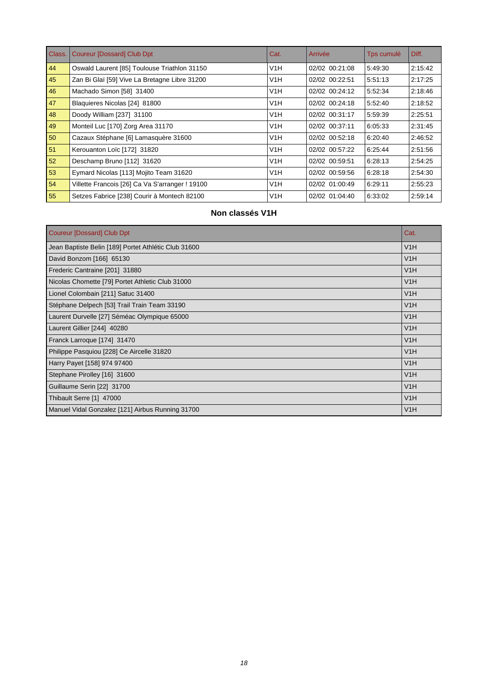| Class. | <b>Coureur [Dossard] Club Dpt</b>               | Cat. | Arrivée        | Tps cumulé | Diff.   |
|--------|-------------------------------------------------|------|----------------|------------|---------|
| 44     | Oswald Laurent [85] Toulouse Triathlon 31150    | V1H  | 02/02 00:21:08 | 5.49.30    | 2:15:42 |
| 45     | Zan Bi Glaï [59] Vive La Bretagne Libre 31200   | V1H  | 02/02 00:22:51 | 5:51:13    | 2:17:25 |
| 46     | Machado Simon [58] 31400                        | V1H  | 02/02 00:24:12 | 5:52:34    | 2:18:46 |
| 47     | Blaquieres Nicolas [24] 81800                   | V1H  | 02/02 00:24:18 | 5:52:40    | 2:18:52 |
| 48     | Doody William [237] 31100                       | V1H  | 02/02 00:31:17 | 5:59:39    | 2:25:51 |
| 49     | Monteil Luc [170] Zorg Area 31170               | V1H  | 02/02 00:37:11 | 6:05:33    | 2:31:45 |
| 50     | Cazaux Stéphane [6] Lamasquère 31600            | V1H  | 02/02 00:52:18 | 6:20:40    | 2:46:52 |
| 51     | Kerouanton Loïc [172] 31820                     | V1H  | 02/02 00:57:22 | 6:25:44    | 2:51:56 |
| 52     | Deschamp Bruno [112] 31620                      | V1H  | 02/02 00:59:51 | 6:28:13    | 2:54:25 |
| 53     | Eymard Nicolas [113] Mojito Team 31620          | V1H  | 02/02 00:59:56 | 6:28:18    | 2:54:30 |
| 54     | Villette Francois [26] Ca Va S'arranger ! 19100 | V1H  | 02/02 01:00:49 | 6:29:11    | 2:55:23 |
| 55     | Setzes Fabrice [238] Courir à Montech 82100     | V1H  | 02/02 01:04:40 | 6:33:02    | 2:59:14 |

# **Non classés V1H**

| <b>Coureur [Dossard] Club Dpt</b>                    | Cat. |
|------------------------------------------------------|------|
| Jean Baptiste Belin [189] Portet Athlétic Club 31600 | V1H  |
| David Bonzom [166] 65130                             | V1H  |
| Frederic Cantraine [201] 31880                       | V1H  |
| Nicolas Chomette [79] Portet Athletic Club 31000     | V1H  |
| Lionel Colombain [211] Satuc 31400                   | V1H  |
| Stéphane Delpech [53] Trail Train Team 33190         | V1H  |
| Laurent Durvelle [27] Séméac Olympique 65000         | V1H  |
| Laurent Gillier [244] 40280                          | V1H  |
| Franck Larroque [174] 31470                          | V1H  |
| Philippe Pasquiou [228] Ce Aircelle 31820            | V1H  |
| Harry Payet [158] 974 97400                          | V1H  |
| Stephane Pirolley [16] 31600                         | V1H  |
| Guillaume Serin [22] 31700                           | V1H  |
| Thibault Serre [1] 47000                             | V1H  |
| Manuel Vidal Gonzalez [121] Airbus Running 31700     | V1H  |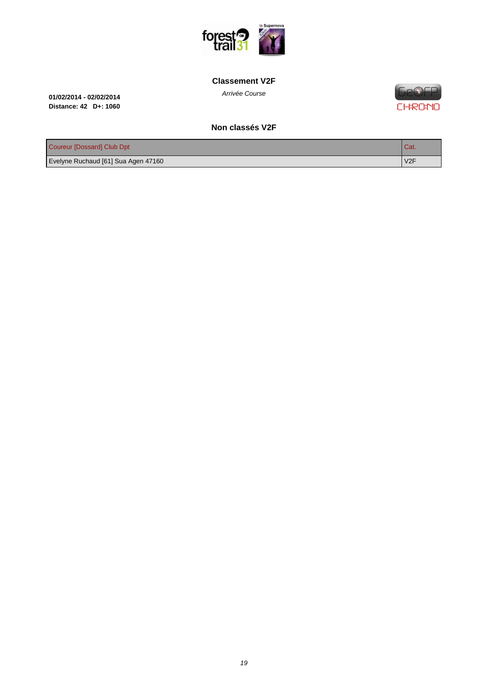

#### **[Classement V2F](http://www.foresttrail31.fr/)**

Arrivée Course **01/02/2014 - 02/02/2014 Distance: 42 D+: 1060**

**Ge®EP CHRONO** 

#### **Non classés V2F**

| Coureur [Dossard] Club Dpt          | I Cat.           |
|-------------------------------------|------------------|
| Evelyne Ruchaud [61] Sua Agen 47160 | V <sub>2</sub> F |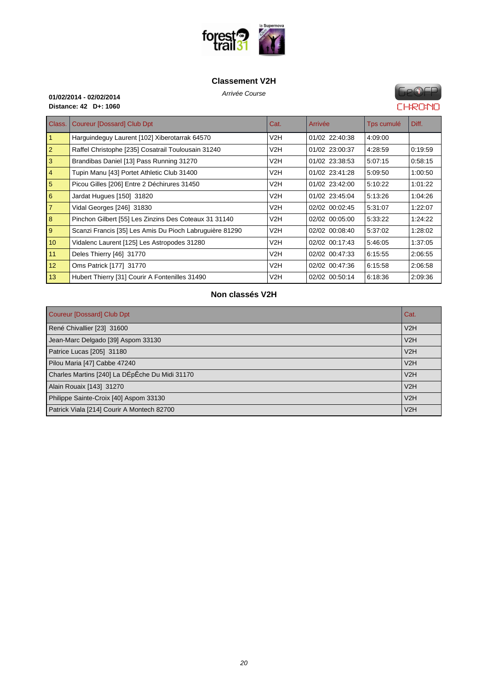

#### **[Classement V2H](http://www.foresttrail31.fr/)**

Arrivée Course **01/02/2014 - 02/02/2014 Distance: 42 D+: 1060**

# **FIP®FP CHRONO**

| Class.         | <b>Coureur [Dossard] Club Dpt</b>                       | Cat. | Arrivée        | Tps cumulé | Diff.   |
|----------------|---------------------------------------------------------|------|----------------|------------|---------|
| $\vert$ 1      | Harguindeguy Laurent [102] Xiberotarrak 64570           | V2H  | 01/02 22:40:38 | 4:09:00    |         |
| 2              | Raffel Christophe [235] Cosatrail Toulousain 31240      | V2H  | 01/02 23:00:37 | 4:28:59    | 0:19:59 |
| 3              | Brandibas Daniel [13] Pass Running 31270                | V2H  | 01/02 23:38:53 | 5:07:15    | 0.58:15 |
| $\vert$ 4      | Tupin Manu [43] Portet Athletic Club 31400              | V2H  | 01/02 23:41:28 | 5:09:50    | 1:00:50 |
| $\overline{5}$ | Picou Gilles [206] Entre 2 Déchirures 31450             | V2H  | 01/02 23:42:00 | 5:10:22    | 1:01:22 |
| 6              | Jardat Hugues [150] 31820                               | V2H  | 01/02 23:45:04 | 5:13:26    | 1:04:26 |
| 7              | Vidal Georges [246] 31830                               | V2H  | 02/02 00:02:45 | 5:31:07    | 1:22:07 |
| 8              | Pinchon Gilbert [55] Les Zinzins Des Coteaux 31 31140   | V2H  | 02/02 00:05:00 | 5:33:22    | 1:24:22 |
| 9              | Scanzi Francis [35] Les Amis Du Pioch Labruguière 81290 | V2H  | 02/02 00:08:40 | 5:37:02    | 1:28:02 |
| 10             | Vidalenc Laurent [125] Les Astropodes 31280             | V2H  | 02/02 00:17:43 | 5:46:05    | 1:37:05 |
| 11             | Deles Thierry [46] 31770                                | V2H  | 02/02 00:47:33 | 6:15:55    | 2:06:55 |
| 12             | Oms Patrick [177] 31770                                 | V2H  | 02/02 00:47:36 | 6:15:58    | 2:06:58 |
| 13/            | Hubert Thierry [31] Courir A Fontenilles 31490          | V2H  | 02/02 00:50:14 | 6:18:36    | 2:09:36 |

#### **Non classés V2H**

| Coureur [Dossard] Club Dpt                     | Cat. |
|------------------------------------------------|------|
| René Chivallier [23] 31600                     | V2H  |
| Jean-Marc Delgado [39] Aspom 33130             | V2H  |
| Patrice Lucas [205] 31180                      | V2H  |
| Pilou Maria [47] Cabbe 47240                   | V2H  |
| Charles Martins [240] La DÉpÊche Du Midi 31170 | V2H  |
| Alain Rouaix [143] 31270                       | V2H  |
| Philippe Sainte-Croix [40] Aspom 33130         | V2H  |
| Patrick Viala [214] Courir A Montech 82700     | V2H  |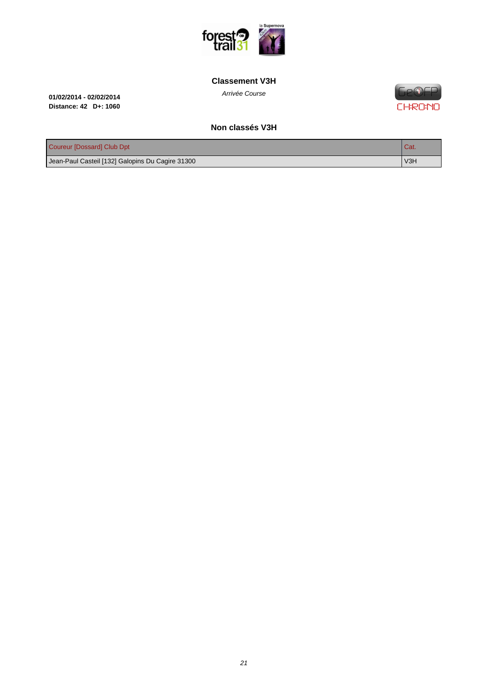

#### **[Classement V3H](http://www.foresttrail31.fr/)**

Arrivée Course **01/02/2014 - 02/02/2014 Distance: 42 D+: 1060**

**FIP®FP CHRONO** 

#### **Non classés V3H**

| Coureur [Dossard] Club Dpt                       | <b>Cat.</b>                  |
|--------------------------------------------------|------------------------------|
| Jean-Paul Casteil [132] Galopins Du Cagire 31300 | $\overline{\phantom{1}}$ V3H |